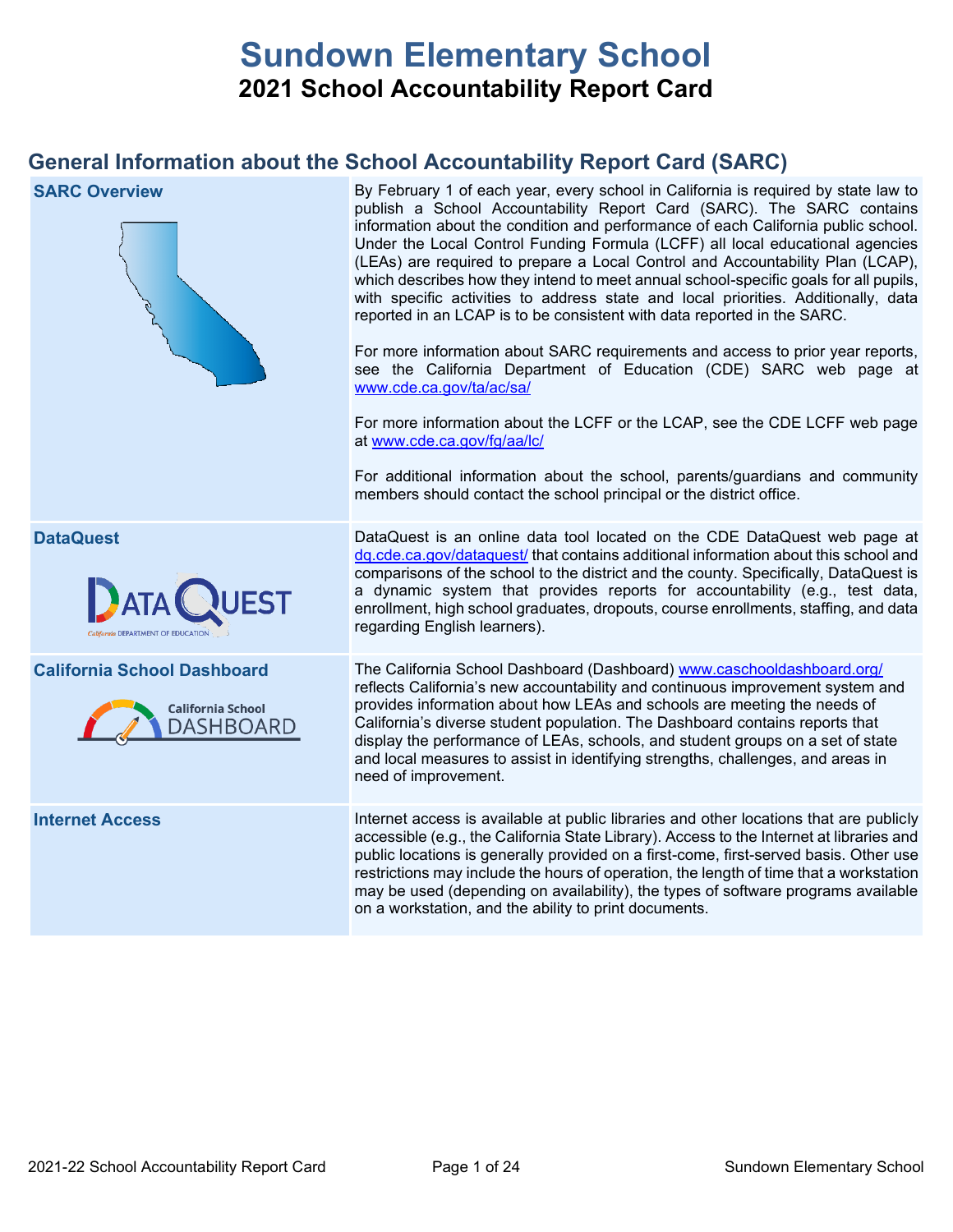# **Sundown Elementary School 2021 School Accountability Report Card**

## **General Information about the School Accountability Report Card (SARC)**

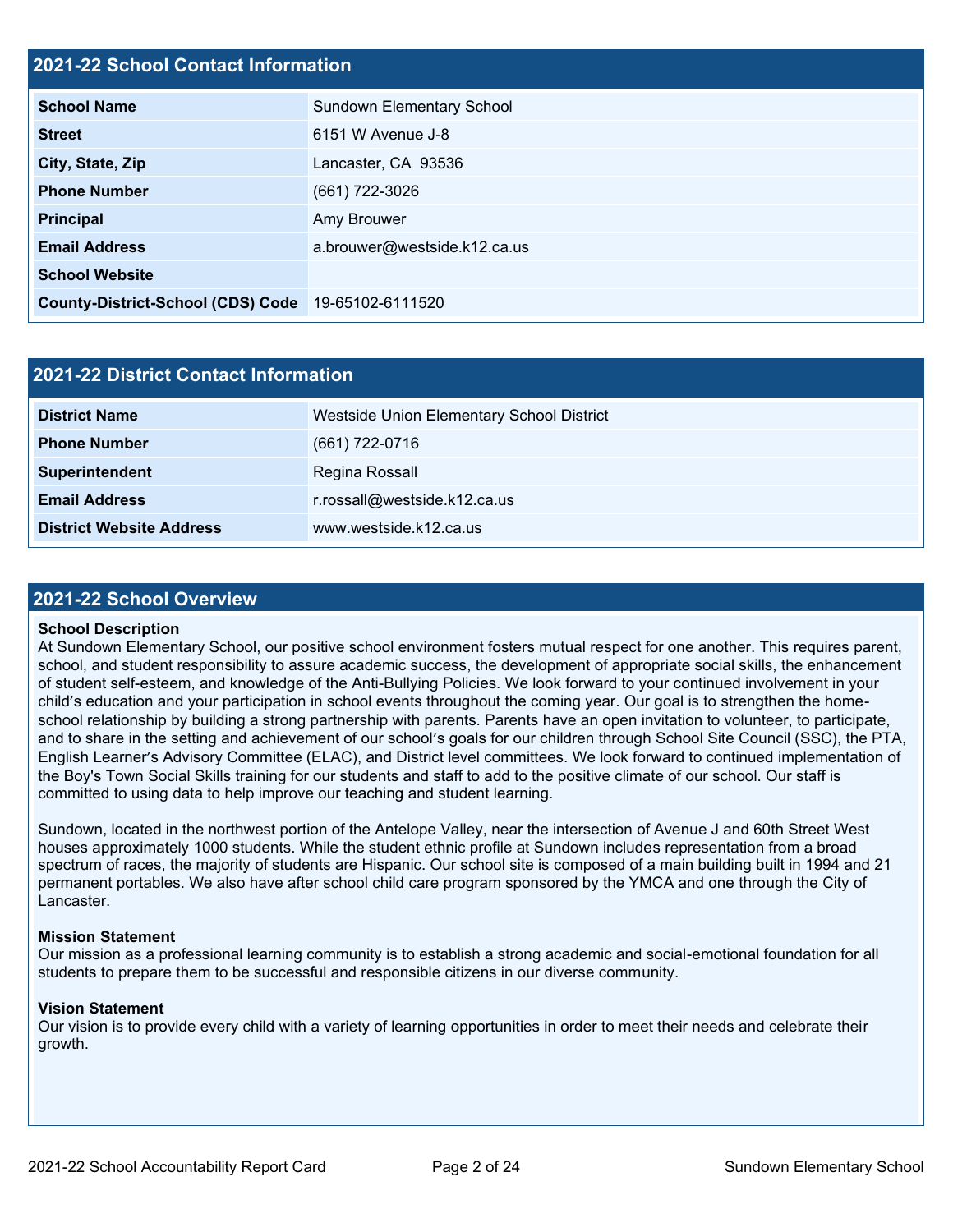## **2021-22 School Contact Information**

| $\blacksquare$                                     |                                  |  |  |  |
|----------------------------------------------------|----------------------------------|--|--|--|
| <b>School Name</b>                                 | <b>Sundown Elementary School</b> |  |  |  |
| <b>Street</b>                                      | 6151 W Avenue J-8                |  |  |  |
| City, State, Zip                                   | Lancaster, CA 93536              |  |  |  |
| <b>Phone Number</b>                                | (661) 722-3026                   |  |  |  |
| <b>Principal</b>                                   | Amy Brouwer                      |  |  |  |
| <b>Email Address</b>                               | a.brouwer@westside.k12.ca.us     |  |  |  |
| <b>School Website</b>                              |                                  |  |  |  |
| County-District-School (CDS) Code 19-65102-6111520 |                                  |  |  |  |

| 2021-22 District Contact Information |                                           |  |  |  |
|--------------------------------------|-------------------------------------------|--|--|--|
| <b>District Name</b>                 | Westside Union Elementary School District |  |  |  |
| <b>Phone Number</b>                  | (661) 722-0716                            |  |  |  |
| Superintendent                       | Regina Rossall                            |  |  |  |
| <b>Email Address</b>                 | r.rossall@westside.k12.ca.us              |  |  |  |
| <b>District Website Address</b>      | www.westside.k12.ca.us                    |  |  |  |

### **2021-22 School Overview**

#### **School Description**

At Sundown Elementary School, our positive school environment fosters mutual respect for one another. This requires parent, school, and student responsibility to assure academic success, the development of appropriate social skills, the enhancement of student self-esteem, and knowledge of the Anti-Bullying Policies. We look forward to your continued involvement in your child's education and your participation in school events throughout the coming year. Our goal is to strengthen the homeschool relationship by building a strong partnership with parents. Parents have an open invitation to volunteer, to participate, and to share in the setting and achievement of our school's goals for our children through School Site Council (SSC), the PTA, English Learner's Advisory Committee (ELAC), and District level committees. We look forward to continued implementation of the Boy's Town Social Skills training for our students and staff to add to the positive climate of our school. Our staff is committed to using data to help improve our teaching and student learning.

Sundown, located in the northwest portion of the Antelope Valley, near the intersection of Avenue J and 60th Street West houses approximately 1000 students. While the student ethnic profile at Sundown includes representation from a broad spectrum of races, the majority of students are Hispanic. Our school site is composed of a main building built in 1994 and 21 permanent portables. We also have after school child care program sponsored by the YMCA and one through the City of Lancaster.

#### **Mission Statement**

Our mission as a professional learning community is to establish a strong academic and social-emotional foundation for all students to prepare them to be successful and responsible citizens in our diverse community.

#### **Vision Statement**

Our vision is to provide every child with a variety of learning opportunities in order to meet their needs and celebrate their growth.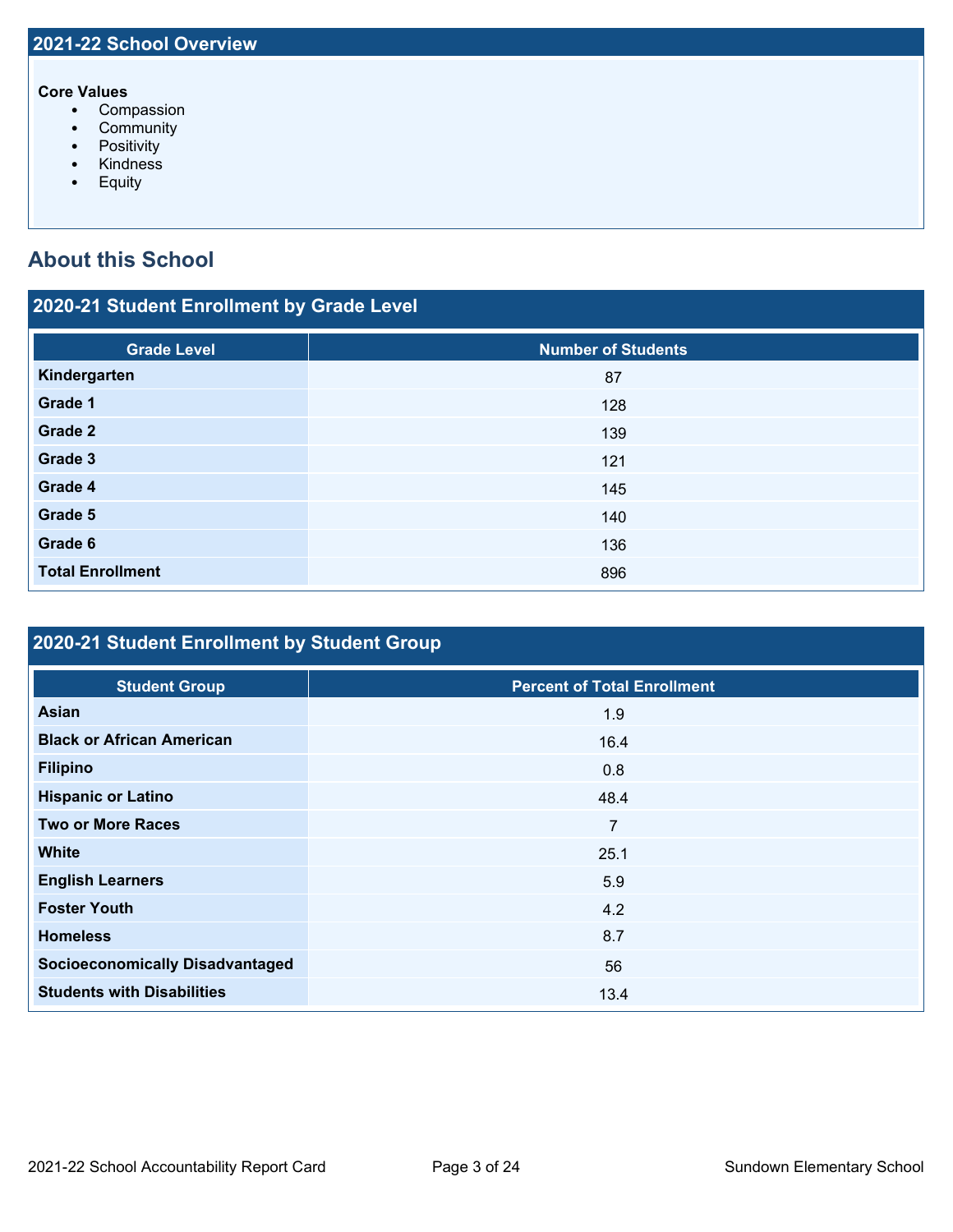#### **Core Values**

- Compassion
- Community
- Positivity
- Kindness
- Equity

## **About this School**

## **2020-21 Student Enrollment by Grade Level**

| <b>Grade Level</b>      | <b>Number of Students</b> |
|-------------------------|---------------------------|
| Kindergarten            | 87                        |
| Grade 1                 | 128                       |
| Grade 2                 | 139                       |
| Grade 3                 | 121                       |
| Grade 4                 | 145                       |
| Grade 5                 | 140                       |
| Grade 6                 | 136                       |
| <b>Total Enrollment</b> | 896                       |

## **2020-21 Student Enrollment by Student Group**

| <b>Student Group</b>                   | <b>Percent of Total Enrollment</b> |
|----------------------------------------|------------------------------------|
| <b>Asian</b>                           | 1.9                                |
| <b>Black or African American</b>       | 16.4                               |
| <b>Filipino</b>                        | 0.8                                |
| <b>Hispanic or Latino</b>              | 48.4                               |
| <b>Two or More Races</b>               | 7                                  |
| <b>White</b>                           | 25.1                               |
| <b>English Learners</b>                | 5.9                                |
| <b>Foster Youth</b>                    | 4.2                                |
| <b>Homeless</b>                        | 8.7                                |
| <b>Socioeconomically Disadvantaged</b> | 56                                 |
| <b>Students with Disabilities</b>      | 13.4                               |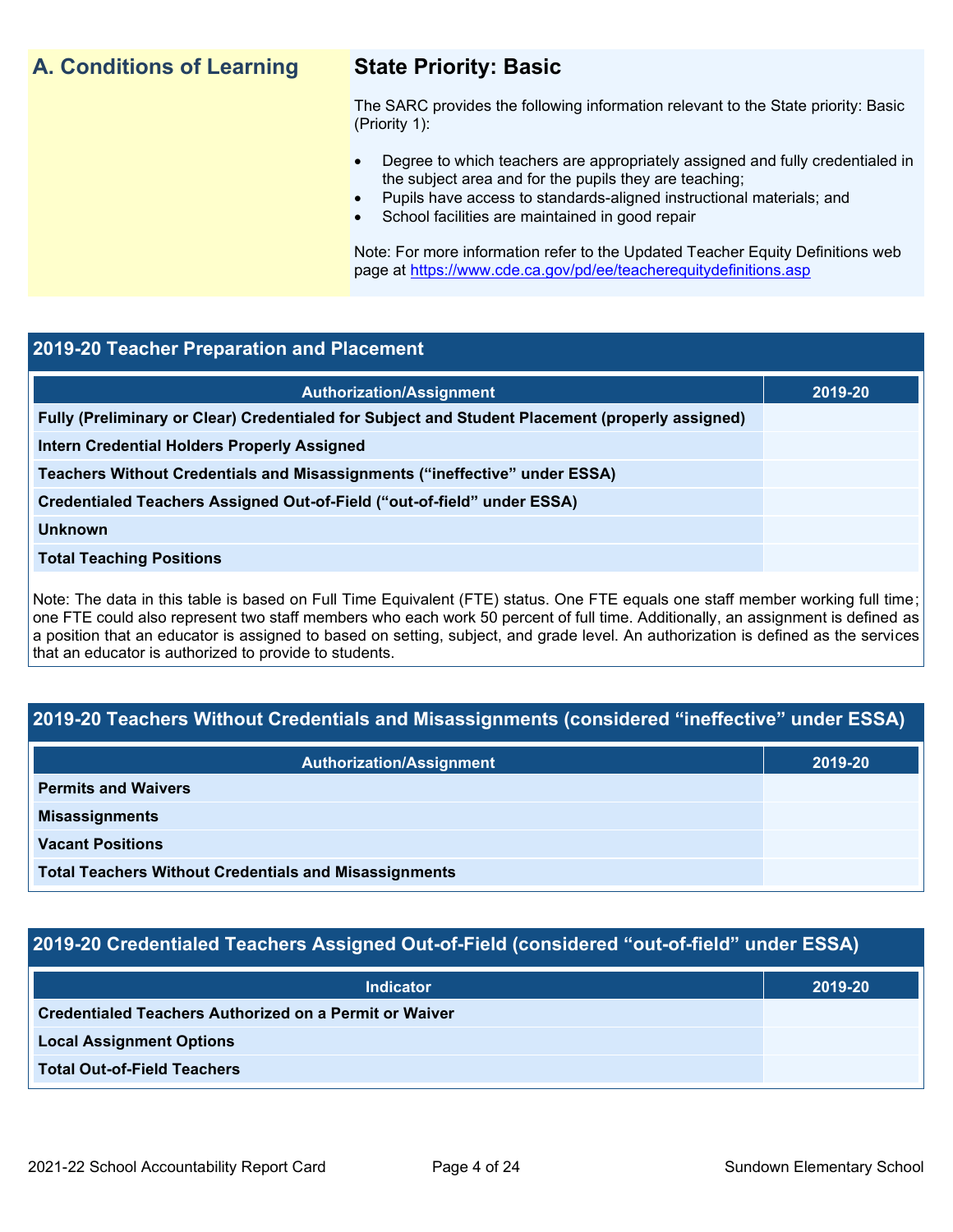## **A. Conditions of Learning State Priority: Basic**

The SARC provides the following information relevant to the State priority: Basic (Priority 1):

- Degree to which teachers are appropriately assigned and fully credentialed in the subject area and for the pupils they are teaching;
	- Pupils have access to standards-aligned instructional materials; and
- School facilities are maintained in good repair

Note: For more information refer to the Updated Teacher Equity Definitions web page at<https://www.cde.ca.gov/pd/ee/teacherequitydefinitions.asp>

## **2019-20 Teacher Preparation and Placement**

| <b>Authorization/Assignment</b>                                                                 | 2019-20 |
|-------------------------------------------------------------------------------------------------|---------|
| Fully (Preliminary or Clear) Credentialed for Subject and Student Placement (properly assigned) |         |
| Intern Credential Holders Properly Assigned                                                     |         |
| Teachers Without Credentials and Misassignments ("ineffective" under ESSA)                      |         |
| Credentialed Teachers Assigned Out-of-Field ("out-of-field" under ESSA)                         |         |
| <b>Unknown</b>                                                                                  |         |
| <b>Total Teaching Positions</b>                                                                 |         |
|                                                                                                 |         |

Note: The data in this table is based on Full Time Equivalent (FTE) status. One FTE equals one staff member working full time; one FTE could also represent two staff members who each work 50 percent of full time. Additionally, an assignment is defined as a position that an educator is assigned to based on setting, subject, and grade level. An authorization is defined as the services that an educator is authorized to provide to students.

## **2019-20 Teachers Without Credentials and Misassignments (considered "ineffective" under ESSA)**

| <b>Authorization/Assignment</b>                              | 2019-20 |
|--------------------------------------------------------------|---------|
| <b>Permits and Waivers</b>                                   |         |
| <b>Misassignments</b>                                        |         |
| <b>Vacant Positions</b>                                      |         |
| <b>Total Teachers Without Credentials and Misassignments</b> |         |

## **2019-20 Credentialed Teachers Assigned Out-of-Field (considered "out-of-field" under ESSA)**

| <b>Indicator</b>                                              | 2019-20 |
|---------------------------------------------------------------|---------|
| <b>Credentialed Teachers Authorized on a Permit or Waiver</b> |         |
| <b>Local Assignment Options</b>                               |         |
| <b>Total Out-of-Field Teachers</b>                            |         |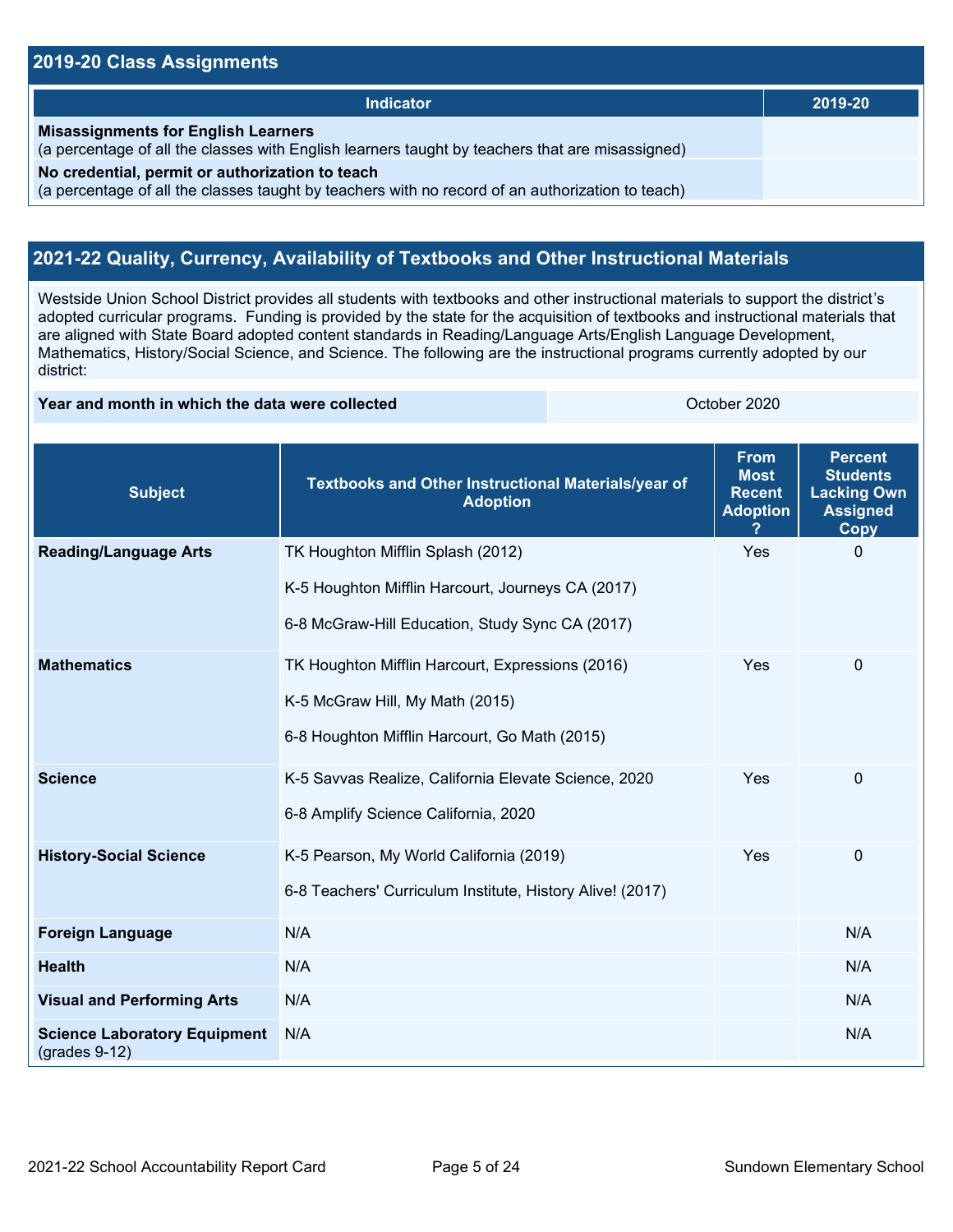## **2019-20 Class Assignments**

| <b>Indicator</b>                                                                                                                                    | 2019-20 |
|-----------------------------------------------------------------------------------------------------------------------------------------------------|---------|
| <b>Misassignments for English Learners</b><br>(a percentage of all the classes with English learners taught by teachers that are misassigned)       |         |
| No credential, permit or authorization to teach<br>(a percentage of all the classes taught by teachers with no record of an authorization to teach) |         |

## **2021-22 Quality, Currency, Availability of Textbooks and Other Instructional Materials**

Westside Union School District provides all students with textbooks and other instructional materials to support the district's adopted curricular programs. Funding is provided by the state for the acquisition of textbooks and instructional materials that are aligned with State Board adopted content standards in Reading/Language Arts/English Language Development, Mathematics, History/Social Science, and Science. The following are the instructional programs currently adopted by our district:

### **Year and month in which the data were collected Constanting Constanting Constanting Constanting Constanting October 2020**

| <b>Subject</b>                                         | Textbooks and Other Instructional Materials/year of<br><b>Adoption</b> | <b>From</b><br><b>Most</b><br><b>Recent</b><br><b>Adoption</b> | <b>Percent</b><br><b>Students</b><br><b>Lacking Own</b><br><b>Assigned</b><br>Copy |
|--------------------------------------------------------|------------------------------------------------------------------------|----------------------------------------------------------------|------------------------------------------------------------------------------------|
| <b>Reading/Language Arts</b>                           | TK Houghton Mifflin Splash (2012)                                      | Yes                                                            | $\mathbf 0$                                                                        |
|                                                        | K-5 Houghton Mifflin Harcourt, Journeys CA (2017)                      |                                                                |                                                                                    |
|                                                        | 6-8 McGraw-Hill Education, Study Sync CA (2017)                        |                                                                |                                                                                    |
| <b>Mathematics</b>                                     | TK Houghton Mifflin Harcourt, Expressions (2016)                       | Yes                                                            | $\pmb{0}$                                                                          |
|                                                        | K-5 McGraw Hill, My Math (2015)                                        |                                                                |                                                                                    |
|                                                        | 6-8 Houghton Mifflin Harcourt, Go Math (2015)                          |                                                                |                                                                                    |
| <b>Science</b>                                         | K-5 Savvas Realize, California Elevate Science, 2020                   | Yes                                                            | $\Omega$                                                                           |
|                                                        | 6-8 Amplify Science California, 2020                                   |                                                                |                                                                                    |
| <b>History-Social Science</b>                          | K-5 Pearson, My World California (2019)                                | Yes                                                            | $\mathbf 0$                                                                        |
|                                                        | 6-8 Teachers' Curriculum Institute, History Alive! (2017)              |                                                                |                                                                                    |
| <b>Foreign Language</b>                                | N/A                                                                    |                                                                | N/A                                                                                |
| <b>Health</b>                                          | N/A                                                                    |                                                                | N/A                                                                                |
| <b>Visual and Performing Arts</b>                      | N/A                                                                    |                                                                | N/A                                                                                |
| <b>Science Laboratory Equipment</b><br>$(grades 9-12)$ | N/A                                                                    |                                                                | N/A                                                                                |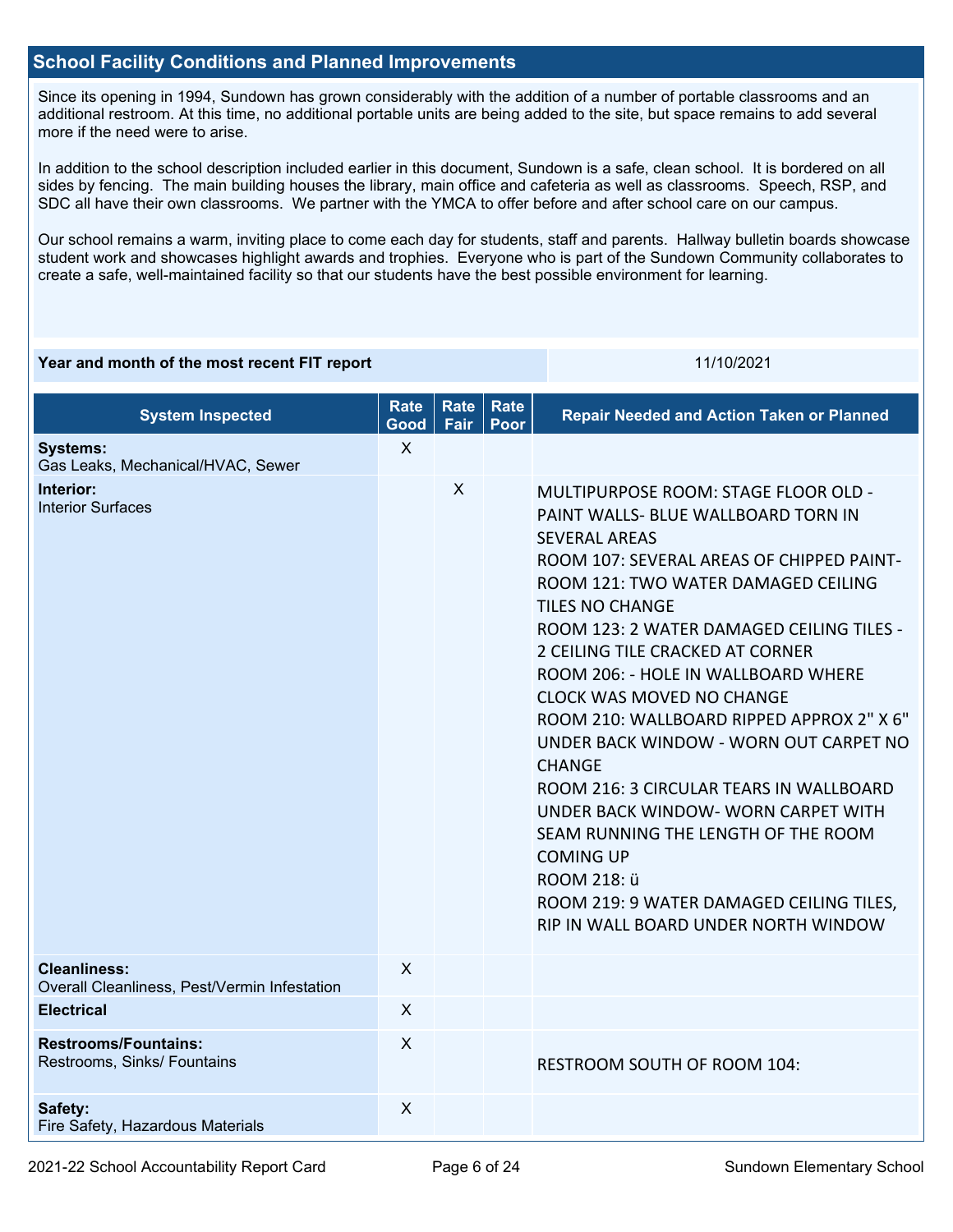## **School Facility Conditions and Planned Improvements**

Since its opening in 1994, Sundown has grown considerably with the addition of a number of portable classrooms and an additional restroom. At this time, no additional portable units are being added to the site, but space remains to add several more if the need were to arise.

In addition to the school description included earlier in this document, Sundown is a safe, clean school. It is bordered on all sides by fencing. The main building houses the library, main office and cafeteria as well as classrooms. Speech, RSP, and SDC all have their own classrooms. We partner with the YMCA to offer before and after school care on our campus.

Our school remains a warm, inviting place to come each day for students, staff and parents. Hallway bulletin boards showcase student work and showcases highlight awards and trophies. Everyone who is part of the Sundown Community collaborates to create a safe, well-maintained facility so that our students have the best possible environment for learning.

#### **Year and month of the most recent FIT report** 11/10/2021 11/10/2021

| <b>System Inspected</b>                                             | <b>Rate</b><br>Good | <b>Rate</b><br>Fair | Rate<br>Poor | <b>Repair Needed and Action Taken or Planned</b>                                                                                                                                                                                                                                                                                                                                                                                                                                                                                                                                                                                                                                                                                      |
|---------------------------------------------------------------------|---------------------|---------------------|--------------|---------------------------------------------------------------------------------------------------------------------------------------------------------------------------------------------------------------------------------------------------------------------------------------------------------------------------------------------------------------------------------------------------------------------------------------------------------------------------------------------------------------------------------------------------------------------------------------------------------------------------------------------------------------------------------------------------------------------------------------|
| <b>Systems:</b><br>Gas Leaks, Mechanical/HVAC, Sewer                | $\mathsf{X}$        |                     |              |                                                                                                                                                                                                                                                                                                                                                                                                                                                                                                                                                                                                                                                                                                                                       |
| Interior:<br><b>Interior Surfaces</b>                               |                     | X                   |              | MULTIPURPOSE ROOM: STAGE FLOOR OLD -<br>PAINT WALLS- BLUE WALLBOARD TORN IN<br><b>SEVERAL AREAS</b><br>ROOM 107: SEVERAL AREAS OF CHIPPED PAINT-<br>ROOM 121: TWO WATER DAMAGED CEILING<br><b>TILES NO CHANGE</b><br>ROOM 123: 2 WATER DAMAGED CEILING TILES -<br>2 CEILING TILE CRACKED AT CORNER<br>ROOM 206: - HOLE IN WALLBOARD WHERE<br><b>CLOCK WAS MOVED NO CHANGE</b><br>ROOM 210: WALLBOARD RIPPED APPROX 2" X 6"<br>UNDER BACK WINDOW - WORN OUT CARPET NO<br><b>CHANGE</b><br>ROOM 216: 3 CIRCULAR TEARS IN WALLBOARD<br>UNDER BACK WINDOW- WORN CARPET WITH<br>SEAM RUNNING THE LENGTH OF THE ROOM<br><b>COMING UP</b><br>ROOM 218: ü<br>ROOM 219: 9 WATER DAMAGED CEILING TILES,<br>RIP IN WALL BOARD UNDER NORTH WINDOW |
| <b>Cleanliness:</b><br>Overall Cleanliness, Pest/Vermin Infestation | $\mathsf{X}$        |                     |              |                                                                                                                                                                                                                                                                                                                                                                                                                                                                                                                                                                                                                                                                                                                                       |
| <b>Electrical</b>                                                   | $\times$            |                     |              |                                                                                                                                                                                                                                                                                                                                                                                                                                                                                                                                                                                                                                                                                                                                       |
| <b>Restrooms/Fountains:</b><br>Restrooms, Sinks/ Fountains          | X                   |                     |              | <b>RESTROOM SOUTH OF ROOM 104:</b>                                                                                                                                                                                                                                                                                                                                                                                                                                                                                                                                                                                                                                                                                                    |
| Safety:<br>Fire Safety, Hazardous Materials                         | $\times$            |                     |              |                                                                                                                                                                                                                                                                                                                                                                                                                                                                                                                                                                                                                                                                                                                                       |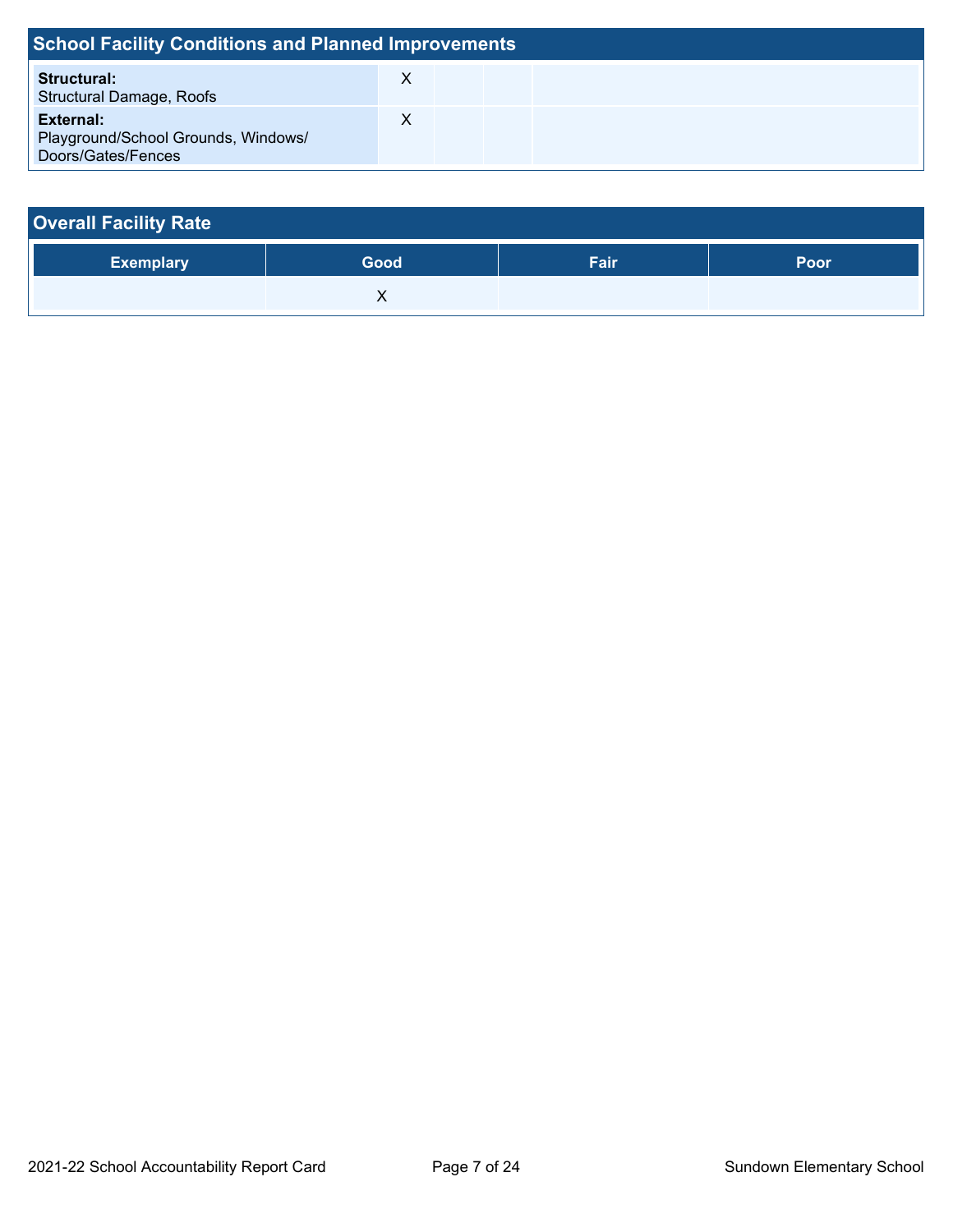| <b>School Facility Conditions and Planned Improvements</b>             |  |  |  |  |  |  |
|------------------------------------------------------------------------|--|--|--|--|--|--|
| <b>Structural:</b><br><b>Structural Damage, Roofs</b>                  |  |  |  |  |  |  |
| External:<br>Playground/School Grounds, Windows/<br>Doors/Gates/Fences |  |  |  |  |  |  |

| <b>Overall Facility Rate</b> |      |      |      |  |  |  |
|------------------------------|------|------|------|--|--|--|
| <b>Exemplary</b>             | Good | Fair | Poor |  |  |  |
|                              |      |      |      |  |  |  |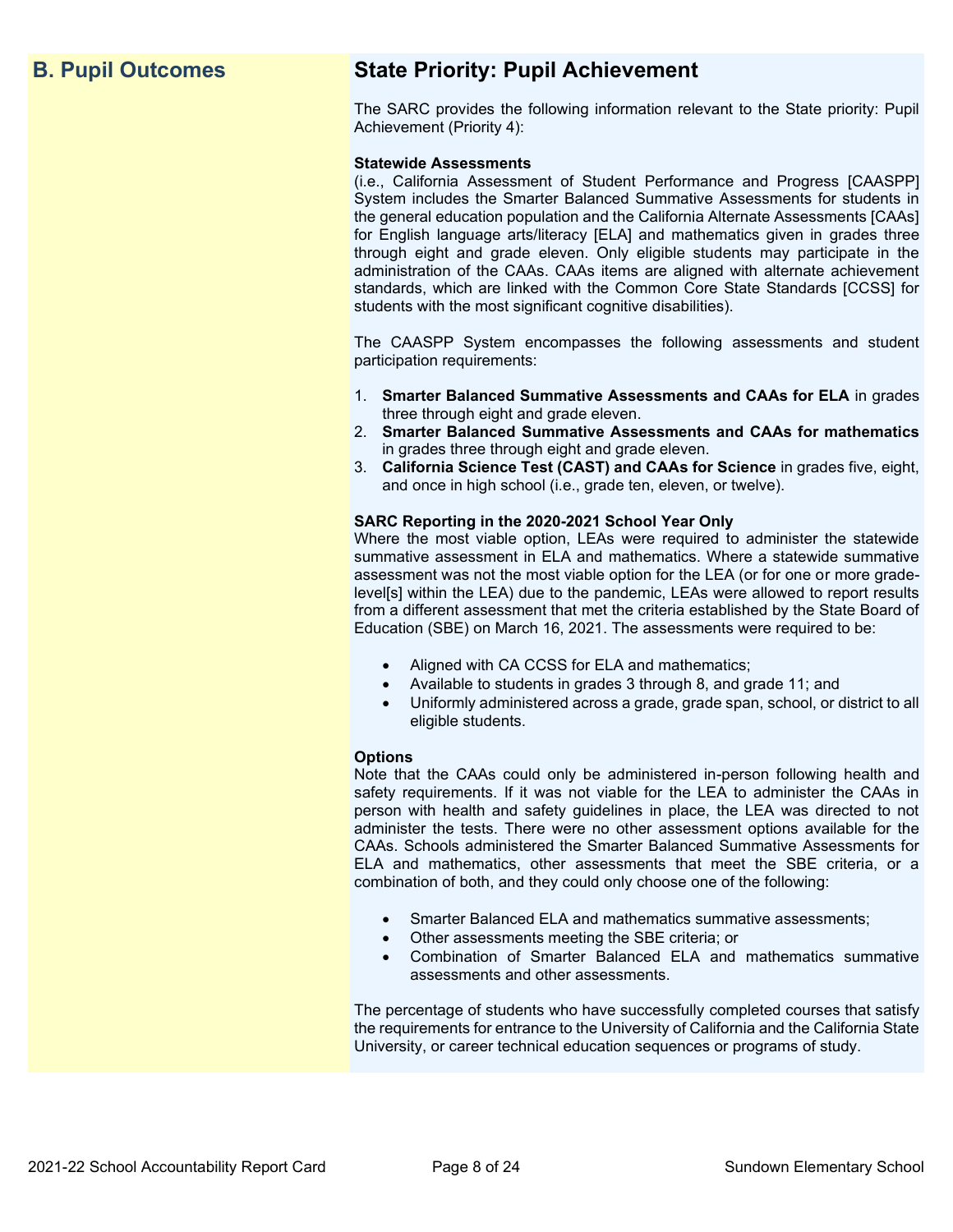## **B. Pupil Outcomes State Priority: Pupil Achievement**

The SARC provides the following information relevant to the State priority: Pupil Achievement (Priority 4):

#### **Statewide Assessments**

(i.e., California Assessment of Student Performance and Progress [CAASPP] System includes the Smarter Balanced Summative Assessments for students in the general education population and the California Alternate Assessments [CAAs] for English language arts/literacy [ELA] and mathematics given in grades three through eight and grade eleven. Only eligible students may participate in the administration of the CAAs. CAAs items are aligned with alternate achievement standards, which are linked with the Common Core State Standards [CCSS] for students with the most significant cognitive disabilities).

The CAASPP System encompasses the following assessments and student participation requirements:

- 1. **Smarter Balanced Summative Assessments and CAAs for ELA** in grades three through eight and grade eleven.
- 2. **Smarter Balanced Summative Assessments and CAAs for mathematics** in grades three through eight and grade eleven.
- 3. **California Science Test (CAST) and CAAs for Science** in grades five, eight, and once in high school (i.e., grade ten, eleven, or twelve).

#### **SARC Reporting in the 2020-2021 School Year Only**

Where the most viable option, LEAs were required to administer the statewide summative assessment in ELA and mathematics. Where a statewide summative assessment was not the most viable option for the LEA (or for one or more gradelevel[s] within the LEA) due to the pandemic, LEAs were allowed to report results from a different assessment that met the criteria established by the State Board of Education (SBE) on March 16, 2021. The assessments were required to be:

- Aligned with CA CCSS for ELA and mathematics;
- Available to students in grades 3 through 8, and grade 11; and
- Uniformly administered across a grade, grade span, school, or district to all eligible students.

#### **Options**

Note that the CAAs could only be administered in-person following health and safety requirements. If it was not viable for the LEA to administer the CAAs in person with health and safety guidelines in place, the LEA was directed to not administer the tests. There were no other assessment options available for the CAAs. Schools administered the Smarter Balanced Summative Assessments for ELA and mathematics, other assessments that meet the SBE criteria, or a combination of both, and they could only choose one of the following:

- Smarter Balanced ELA and mathematics summative assessments;
- Other assessments meeting the SBE criteria; or
- Combination of Smarter Balanced ELA and mathematics summative assessments and other assessments.

The percentage of students who have successfully completed courses that satisfy the requirements for entrance to the University of California and the California State University, or career technical education sequences or programs of study.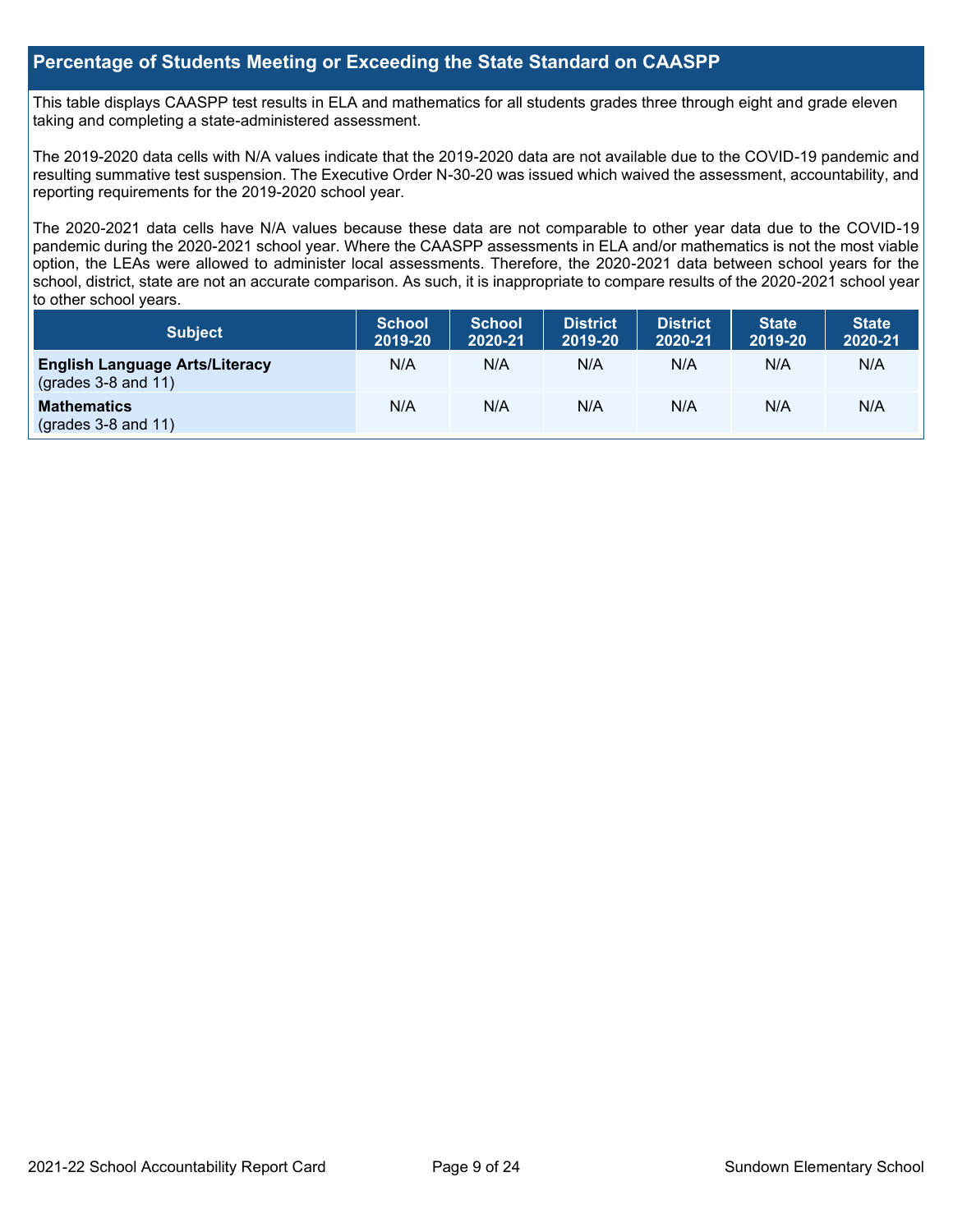## **Percentage of Students Meeting or Exceeding the State Standard on CAASPP**

This table displays CAASPP test results in ELA and mathematics for all students grades three through eight and grade eleven taking and completing a state-administered assessment.

The 2019-2020 data cells with N/A values indicate that the 2019-2020 data are not available due to the COVID-19 pandemic and resulting summative test suspension. The Executive Order N-30-20 was issued which waived the assessment, accountability, and reporting requirements for the 2019-2020 school year.

The 2020-2021 data cells have N/A values because these data are not comparable to other year data due to the COVID-19 pandemic during the 2020-2021 school year. Where the CAASPP assessments in ELA and/or mathematics is not the most viable option, the LEAs were allowed to administer local assessments. Therefore, the 2020-2021 data between school years for the school, district, state are not an accurate comparison. As such, it is inappropriate to compare results of the 2020-2021 school year to other school years.

| Subject                                                        | <b>School</b><br>2019-20 | <b>School</b><br>2020-21 | <b>District</b><br>2019-20 | <b>District</b><br>2020-21 | <b>State</b><br>2019-20 | <b>State</b><br>2020-21 |
|----------------------------------------------------------------|--------------------------|--------------------------|----------------------------|----------------------------|-------------------------|-------------------------|
| <b>English Language Arts/Literacy</b><br>$(grades 3-8 and 11)$ | N/A                      | N/A                      | N/A                        | N/A                        | N/A                     | N/A                     |
| <b>Mathematics</b><br>$(grades 3-8 and 11)$                    | N/A                      | N/A                      | N/A                        | N/A                        | N/A                     | N/A                     |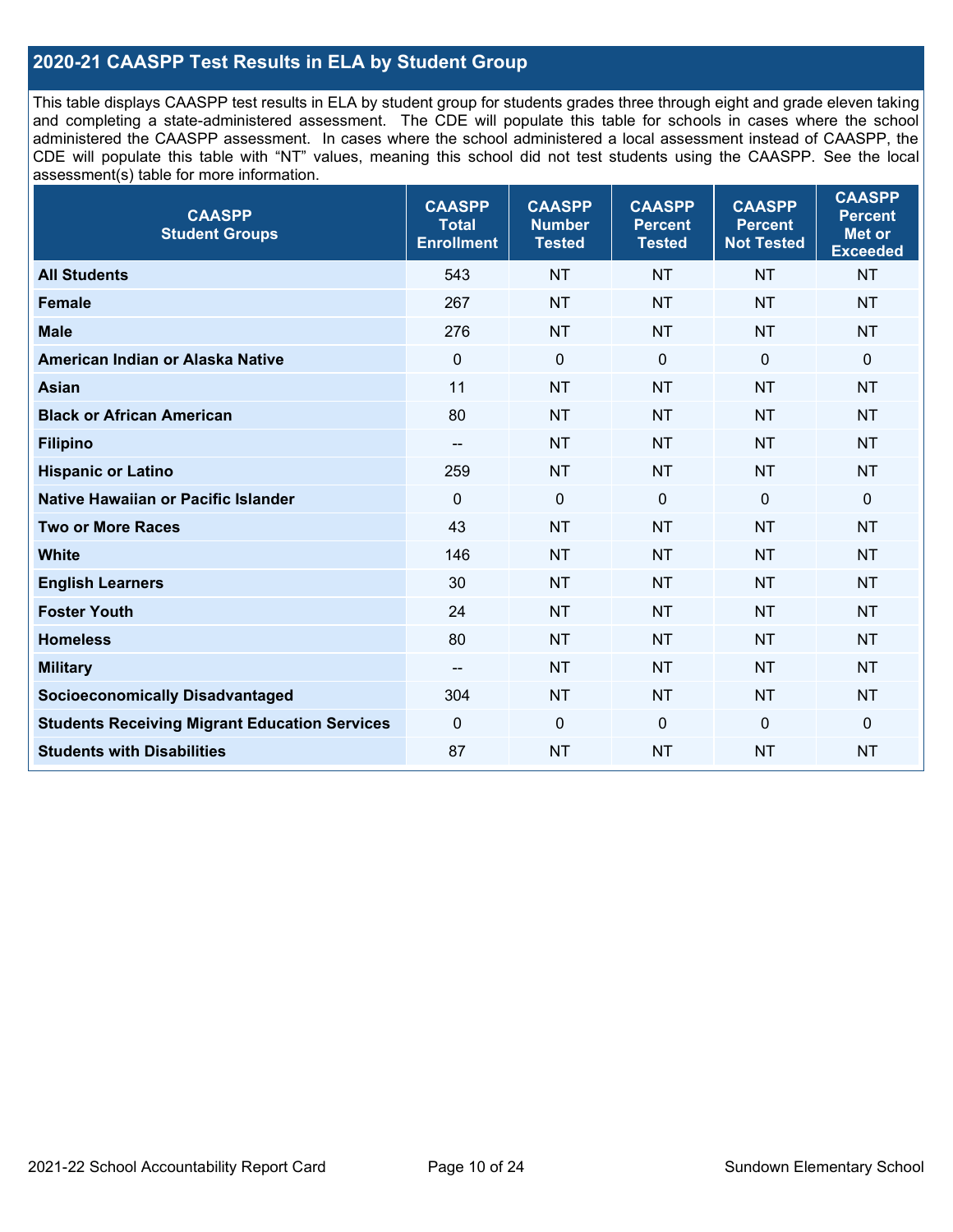## **2020-21 CAASPP Test Results in ELA by Student Group**

This table displays CAASPP test results in ELA by student group for students grades three through eight and grade eleven taking and completing a state-administered assessment. The CDE will populate this table for schools in cases where the school administered the CAASPP assessment. In cases where the school administered a local assessment instead of CAASPP, the CDE will populate this table with "NT" values, meaning this school did not test students using the CAASPP. See the local assessment(s) table for more information.

| <b>CAASPP</b><br><b>Student Groups</b>               | <b>CAASPP</b><br><b>Total</b><br><b>Enrollment</b> | <b>CAASPP</b><br><b>Number</b><br><b>Tested</b> | <b>CAASPP</b><br><b>Percent</b><br><b>Tested</b> | <b>CAASPP</b><br><b>Percent</b><br><b>Not Tested</b> | <b>CAASPP</b><br><b>Percent</b><br>Met or<br><b>Exceeded</b> |
|------------------------------------------------------|----------------------------------------------------|-------------------------------------------------|--------------------------------------------------|------------------------------------------------------|--------------------------------------------------------------|
| <b>All Students</b>                                  | 543                                                | <b>NT</b>                                       | <b>NT</b>                                        | <b>NT</b>                                            | <b>NT</b>                                                    |
| <b>Female</b>                                        | 267                                                | <b>NT</b>                                       | <b>NT</b>                                        | <b>NT</b>                                            | <b>NT</b>                                                    |
| <b>Male</b>                                          | 276                                                | <b>NT</b>                                       | <b>NT</b>                                        | <b>NT</b>                                            | <b>NT</b>                                                    |
| American Indian or Alaska Native                     | $\mathbf 0$                                        | $\mathbf 0$                                     | $\mathbf 0$                                      | $\mathbf 0$                                          | 0                                                            |
| <b>Asian</b>                                         | 11                                                 | <b>NT</b>                                       | <b>NT</b>                                        | <b>NT</b>                                            | <b>NT</b>                                                    |
| <b>Black or African American</b>                     | 80                                                 | <b>NT</b>                                       | <b>NT</b>                                        | <b>NT</b>                                            | <b>NT</b>                                                    |
| <b>Filipino</b>                                      | $\overline{\phantom{a}}$                           | <b>NT</b>                                       | <b>NT</b>                                        | <b>NT</b>                                            | <b>NT</b>                                                    |
| <b>Hispanic or Latino</b>                            | 259                                                | <b>NT</b>                                       | <b>NT</b>                                        | <b>NT</b>                                            | <b>NT</b>                                                    |
| Native Hawaiian or Pacific Islander                  | $\mathbf 0$                                        | $\mathbf 0$                                     | $\mathbf{0}$                                     | $\overline{0}$                                       | 0                                                            |
| <b>Two or More Races</b>                             | 43                                                 | <b>NT</b>                                       | <b>NT</b>                                        | <b>NT</b>                                            | <b>NT</b>                                                    |
| <b>White</b>                                         | 146                                                | <b>NT</b>                                       | <b>NT</b>                                        | <b>NT</b>                                            | <b>NT</b>                                                    |
| <b>English Learners</b>                              | 30                                                 | <b>NT</b>                                       | <b>NT</b>                                        | <b>NT</b>                                            | <b>NT</b>                                                    |
| <b>Foster Youth</b>                                  | 24                                                 | <b>NT</b>                                       | <b>NT</b>                                        | <b>NT</b>                                            | <b>NT</b>                                                    |
| <b>Homeless</b>                                      | 80                                                 | <b>NT</b>                                       | <b>NT</b>                                        | <b>NT</b>                                            | <b>NT</b>                                                    |
| <b>Military</b>                                      | --                                                 | <b>NT</b>                                       | <b>NT</b>                                        | <b>NT</b>                                            | <b>NT</b>                                                    |
| <b>Socioeconomically Disadvantaged</b>               | 304                                                | <b>NT</b>                                       | <b>NT</b>                                        | <b>NT</b>                                            | <b>NT</b>                                                    |
| <b>Students Receiving Migrant Education Services</b> | $\Omega$                                           | $\mathbf 0$                                     | $\mathbf{0}$                                     | $\mathbf 0$                                          | 0                                                            |
| <b>Students with Disabilities</b>                    | 87                                                 | <b>NT</b>                                       | <b>NT</b>                                        | <b>NT</b>                                            | <b>NT</b>                                                    |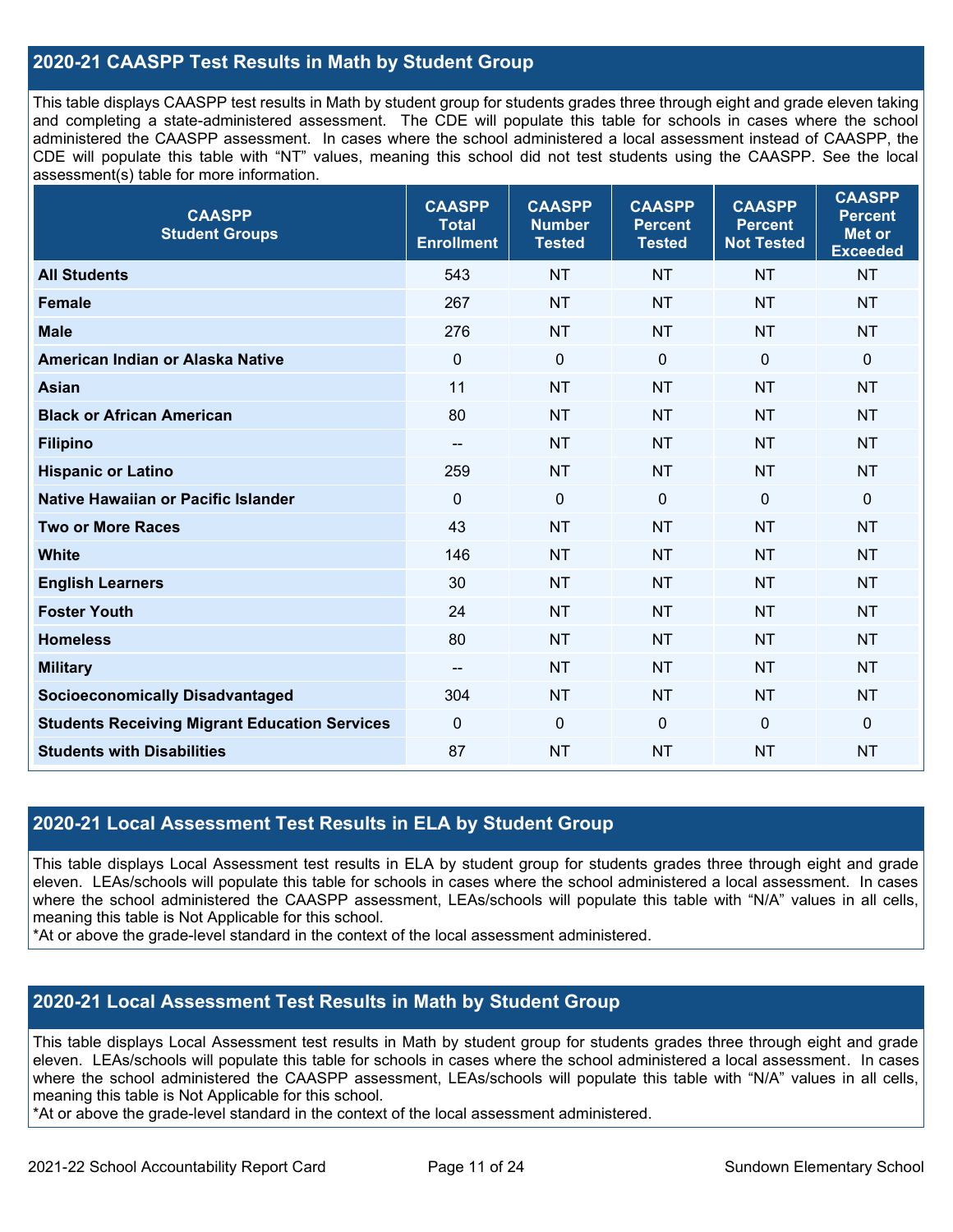## **2020-21 CAASPP Test Results in Math by Student Group**

This table displays CAASPP test results in Math by student group for students grades three through eight and grade eleven taking and completing a state-administered assessment. The CDE will populate this table for schools in cases where the school administered the CAASPP assessment. In cases where the school administered a local assessment instead of CAASPP, the CDE will populate this table with "NT" values, meaning this school did not test students using the CAASPP. See the local assessment(s) table for more information.

| <b>CAASPP</b><br><b>Student Groups</b>               | <b>CAASPP</b><br><b>Total</b><br><b>Enrollment</b> | <b>CAASPP</b><br><b>Number</b><br><b>Tested</b> | <b>CAASPP</b><br><b>Percent</b><br><b>Tested</b> | <b>CAASPP</b><br><b>Percent</b><br><b>Not Tested</b> | <b>CAASPP</b><br><b>Percent</b><br><b>Met or</b><br><b>Exceeded</b> |
|------------------------------------------------------|----------------------------------------------------|-------------------------------------------------|--------------------------------------------------|------------------------------------------------------|---------------------------------------------------------------------|
| <b>All Students</b>                                  | 543                                                | <b>NT</b>                                       | <b>NT</b>                                        | <b>NT</b>                                            | <b>NT</b>                                                           |
| <b>Female</b>                                        | 267                                                | <b>NT</b>                                       | <b>NT</b>                                        | <b>NT</b>                                            | <b>NT</b>                                                           |
| <b>Male</b>                                          | 276                                                | <b>NT</b>                                       | <b>NT</b>                                        | <b>NT</b>                                            | <b>NT</b>                                                           |
| American Indian or Alaska Native                     | $\mathbf 0$                                        | $\mathbf 0$                                     | $\mathbf 0$                                      | $\overline{0}$                                       | $\mathbf 0$                                                         |
| <b>Asian</b>                                         | 11                                                 | <b>NT</b>                                       | <b>NT</b>                                        | <b>NT</b>                                            | <b>NT</b>                                                           |
| <b>Black or African American</b>                     | 80                                                 | <b>NT</b>                                       | <b>NT</b>                                        | <b>NT</b>                                            | <b>NT</b>                                                           |
| <b>Filipino</b>                                      | $-$                                                | <b>NT</b>                                       | <b>NT</b>                                        | <b>NT</b>                                            | <b>NT</b>                                                           |
| <b>Hispanic or Latino</b>                            | 259                                                | <b>NT</b>                                       | <b>NT</b>                                        | <b>NT</b>                                            | <b>NT</b>                                                           |
| Native Hawaiian or Pacific Islander                  | $\mathbf 0$                                        | $\mathbf 0$                                     | $\mathbf 0$                                      | $\mathbf 0$                                          | $\mathbf 0$                                                         |
| <b>Two or More Races</b>                             | 43                                                 | <b>NT</b>                                       | <b>NT</b>                                        | <b>NT</b>                                            | <b>NT</b>                                                           |
| <b>White</b>                                         | 146                                                | <b>NT</b>                                       | <b>NT</b>                                        | <b>NT</b>                                            | <b>NT</b>                                                           |
| <b>English Learners</b>                              | 30                                                 | <b>NT</b>                                       | <b>NT</b>                                        | <b>NT</b>                                            | <b>NT</b>                                                           |
| <b>Foster Youth</b>                                  | 24                                                 | <b>NT</b>                                       | <b>NT</b>                                        | <b>NT</b>                                            | <b>NT</b>                                                           |
| <b>Homeless</b>                                      | 80                                                 | <b>NT</b>                                       | <b>NT</b>                                        | <b>NT</b>                                            | <b>NT</b>                                                           |
| <b>Military</b>                                      | --                                                 | <b>NT</b>                                       | <b>NT</b>                                        | <b>NT</b>                                            | <b>NT</b>                                                           |
| <b>Socioeconomically Disadvantaged</b>               | 304                                                | <b>NT</b>                                       | <b>NT</b>                                        | <b>NT</b>                                            | <b>NT</b>                                                           |
| <b>Students Receiving Migrant Education Services</b> | $\mathbf 0$                                        | $\mathbf 0$                                     | 0                                                | $\mathbf{0}$                                         | $\mathbf 0$                                                         |
| <b>Students with Disabilities</b>                    | 87                                                 | <b>NT</b>                                       | <b>NT</b>                                        | <b>NT</b>                                            | <b>NT</b>                                                           |

## **2020-21 Local Assessment Test Results in ELA by Student Group**

This table displays Local Assessment test results in ELA by student group for students grades three through eight and grade eleven. LEAs/schools will populate this table for schools in cases where the school administered a local assessment. In cases where the school administered the CAASPP assessment, LEAs/schools will populate this table with "N/A" values in all cells, meaning this table is Not Applicable for this school.

\*At or above the grade-level standard in the context of the local assessment administered.

## **2020-21 Local Assessment Test Results in Math by Student Group**

This table displays Local Assessment test results in Math by student group for students grades three through eight and grade eleven. LEAs/schools will populate this table for schools in cases where the school administered a local assessment. In cases where the school administered the CAASPP assessment, LEAs/schools will populate this table with "N/A" values in all cells, meaning this table is Not Applicable for this school.

\*At or above the grade-level standard in the context of the local assessment administered.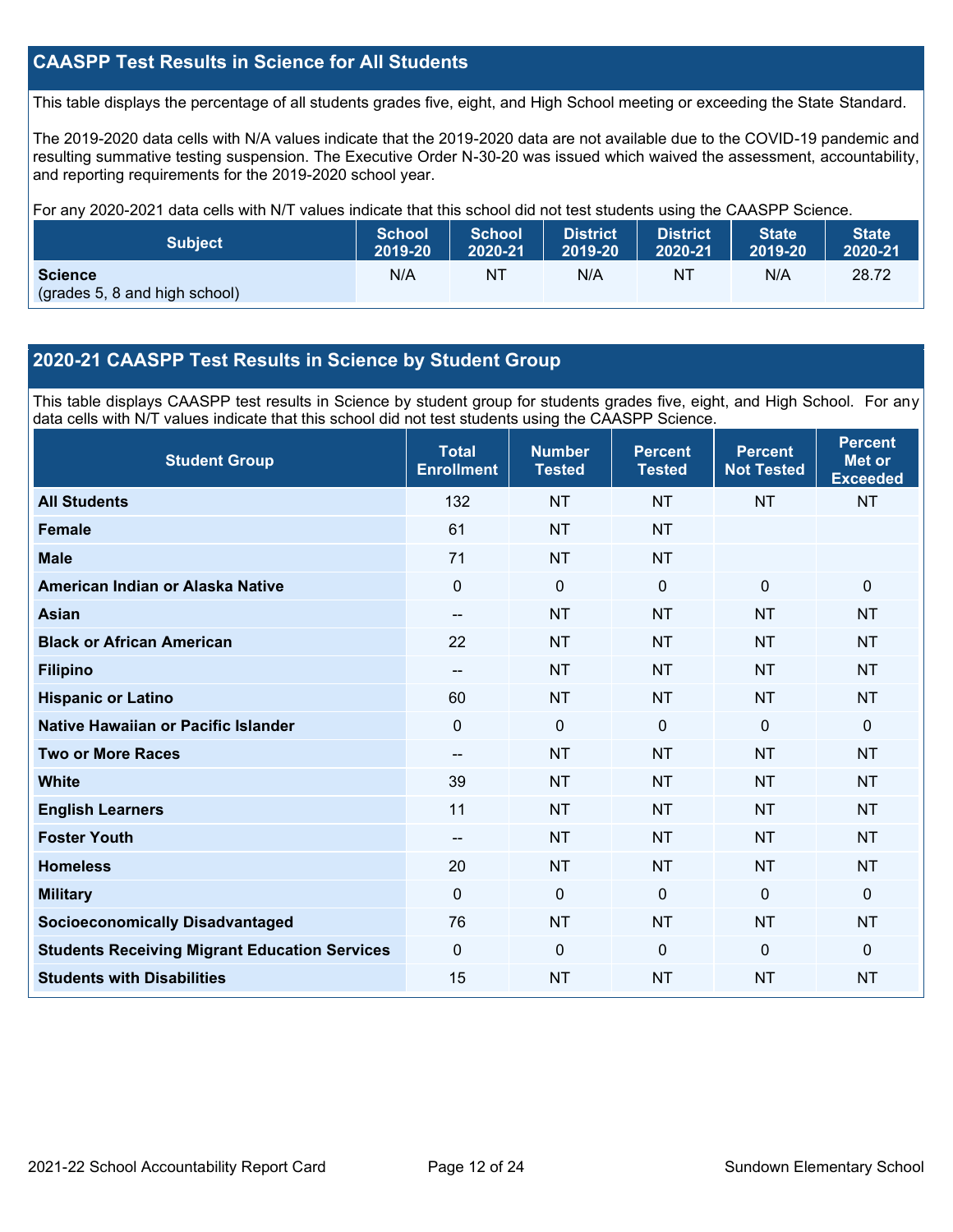## **CAASPP Test Results in Science for All Students**

This table displays the percentage of all students grades five, eight, and High School meeting or exceeding the State Standard.

The 2019-2020 data cells with N/A values indicate that the 2019-2020 data are not available due to the COVID-19 pandemic and resulting summative testing suspension. The Executive Order N-30-20 was issued which waived the assessment, accountability, and reporting requirements for the 2019-2020 school year.

For any 2020-2021 data cells with N/T values indicate that this school did not test students using the CAASPP Science.

| <b>Subject</b>                                  | <b>School</b> | <b>School</b> | <b>District</b> | District. | <b>State</b> | <b>State</b> |
|-------------------------------------------------|---------------|---------------|-----------------|-----------|--------------|--------------|
|                                                 | 2019-20       | 2020-21       | 2019-20         | 2020-21   | 2019-20      | 2020-21      |
| <b>Science</b><br>(grades 5, 8 and high school) | N/A           | NT            | N/A             | NT        | N/A          | 28.72        |

## **2020-21 CAASPP Test Results in Science by Student Group**

This table displays CAASPP test results in Science by student group for students grades five, eight, and High School. For any data cells with N/T values indicate that this school did not test students using the CAASPP Science.

| <b>Student Group</b>                                 | <b>Total</b><br><b>Enrollment</b> | <b>Number</b><br><b>Tested</b> | <b>Percent</b><br><b>Tested</b> | <b>Percent</b><br><b>Not Tested</b> | <b>Percent</b><br><b>Met or</b><br><b>Exceeded</b> |
|------------------------------------------------------|-----------------------------------|--------------------------------|---------------------------------|-------------------------------------|----------------------------------------------------|
| <b>All Students</b>                                  | 132                               | <b>NT</b>                      | <b>NT</b>                       | <b>NT</b>                           | <b>NT</b>                                          |
| <b>Female</b>                                        | 61                                | <b>NT</b>                      | <b>NT</b>                       |                                     |                                                    |
| <b>Male</b>                                          | 71                                | <b>NT</b>                      | <b>NT</b>                       |                                     |                                                    |
| American Indian or Alaska Native                     | $\Omega$                          | $\mathbf 0$                    | $\mathbf{0}$                    | $\mathbf 0$                         | $\mathbf 0$                                        |
| <b>Asian</b>                                         | --                                | <b>NT</b>                      | <b>NT</b>                       | <b>NT</b>                           | <b>NT</b>                                          |
| <b>Black or African American</b>                     | 22                                | <b>NT</b>                      | <b>NT</b>                       | <b>NT</b>                           | <b>NT</b>                                          |
| <b>Filipino</b>                                      | --                                | <b>NT</b>                      | <b>NT</b>                       | <b>NT</b>                           | <b>NT</b>                                          |
| <b>Hispanic or Latino</b>                            | 60                                | <b>NT</b>                      | <b>NT</b>                       | <b>NT</b>                           | <b>NT</b>                                          |
| Native Hawaiian or Pacific Islander                  | 0                                 | $\mathbf 0$                    | $\mathbf 0$                     | $\overline{0}$                      | $\mathbf 0$                                        |
| <b>Two or More Races</b>                             | --                                | <b>NT</b>                      | <b>NT</b>                       | <b>NT</b>                           | <b>NT</b>                                          |
| <b>White</b>                                         | 39                                | <b>NT</b>                      | <b>NT</b>                       | <b>NT</b>                           | <b>NT</b>                                          |
| <b>English Learners</b>                              | 11                                | <b>NT</b>                      | <b>NT</b>                       | <b>NT</b>                           | <b>NT</b>                                          |
| <b>Foster Youth</b>                                  | --                                | <b>NT</b>                      | <b>NT</b>                       | <b>NT</b>                           | <b>NT</b>                                          |
| <b>Homeless</b>                                      | 20                                | <b>NT</b>                      | <b>NT</b>                       | <b>NT</b>                           | <b>NT</b>                                          |
| <b>Military</b>                                      | $\Omega$                          | 0                              | $\mathbf{0}$                    | $\mathbf{0}$                        | $\mathbf{0}$                                       |
| <b>Socioeconomically Disadvantaged</b>               | 76                                | <b>NT</b>                      | <b>NT</b>                       | <b>NT</b>                           | <b>NT</b>                                          |
| <b>Students Receiving Migrant Education Services</b> | $\Omega$                          | 0                              | $\mathbf{0}$                    | $\Omega$                            | $\mathbf{0}$                                       |
| <b>Students with Disabilities</b>                    | 15                                | <b>NT</b>                      | <b>NT</b>                       | <b>NT</b>                           | <b>NT</b>                                          |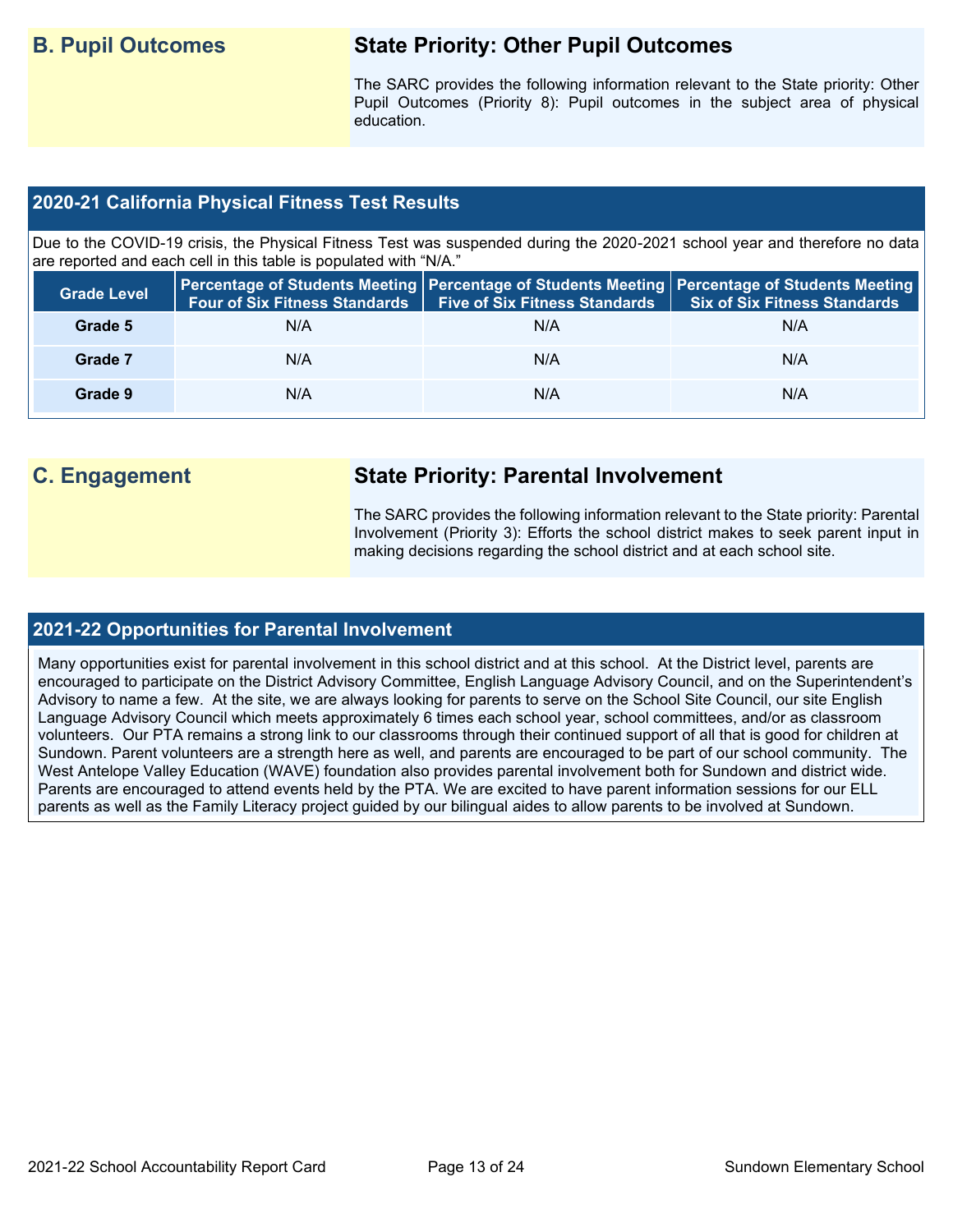## **B. Pupil Outcomes State Priority: Other Pupil Outcomes**

The SARC provides the following information relevant to the State priority: Other Pupil Outcomes (Priority 8): Pupil outcomes in the subject area of physical education.

## **2020-21 California Physical Fitness Test Results**

Due to the COVID-19 crisis, the Physical Fitness Test was suspended during the 2020-2021 school year and therefore no data are reported and each cell in this table is populated with "N/A."

| <b>Grade Level</b> | <b>Four of Six Fitness Standards</b> | <b>Five of Six Fitness Standards</b> | Percentage of Students Meeting   Percentage of Students Meeting   Percentage of Students Meeting  <br><b>Six of Six Fitness Standards</b> |
|--------------------|--------------------------------------|--------------------------------------|-------------------------------------------------------------------------------------------------------------------------------------------|
| Grade 5            | N/A                                  | N/A                                  | N/A                                                                                                                                       |
| Grade 7            | N/A                                  | N/A                                  | N/A                                                                                                                                       |
| Grade 9            | N/A                                  | N/A                                  | N/A                                                                                                                                       |

## **C. Engagement State Priority: Parental Involvement**

The SARC provides the following information relevant to the State priority: Parental Involvement (Priority 3): Efforts the school district makes to seek parent input in making decisions regarding the school district and at each school site.

## **2021-22 Opportunities for Parental Involvement**

Many opportunities exist for parental involvement in this school district and at this school. At the District level, parents are encouraged to participate on the District Advisory Committee, English Language Advisory Council, and on the Superintendent's Advisory to name a few. At the site, we are always looking for parents to serve on the School Site Council, our site English Language Advisory Council which meets approximately 6 times each school year, school committees, and/or as classroom volunteers. Our PTA remains a strong link to our classrooms through their continued support of all that is good for children at Sundown. Parent volunteers are a strength here as well, and parents are encouraged to be part of our school community. The West Antelope Valley Education (WAVE) foundation also provides parental involvement both for Sundown and district wide. Parents are encouraged to attend events held by the PTA. We are excited to have parent information sessions for our ELL parents as well as the Family Literacy project quided by our bilingual aides to allow parents to be involved at Sundown.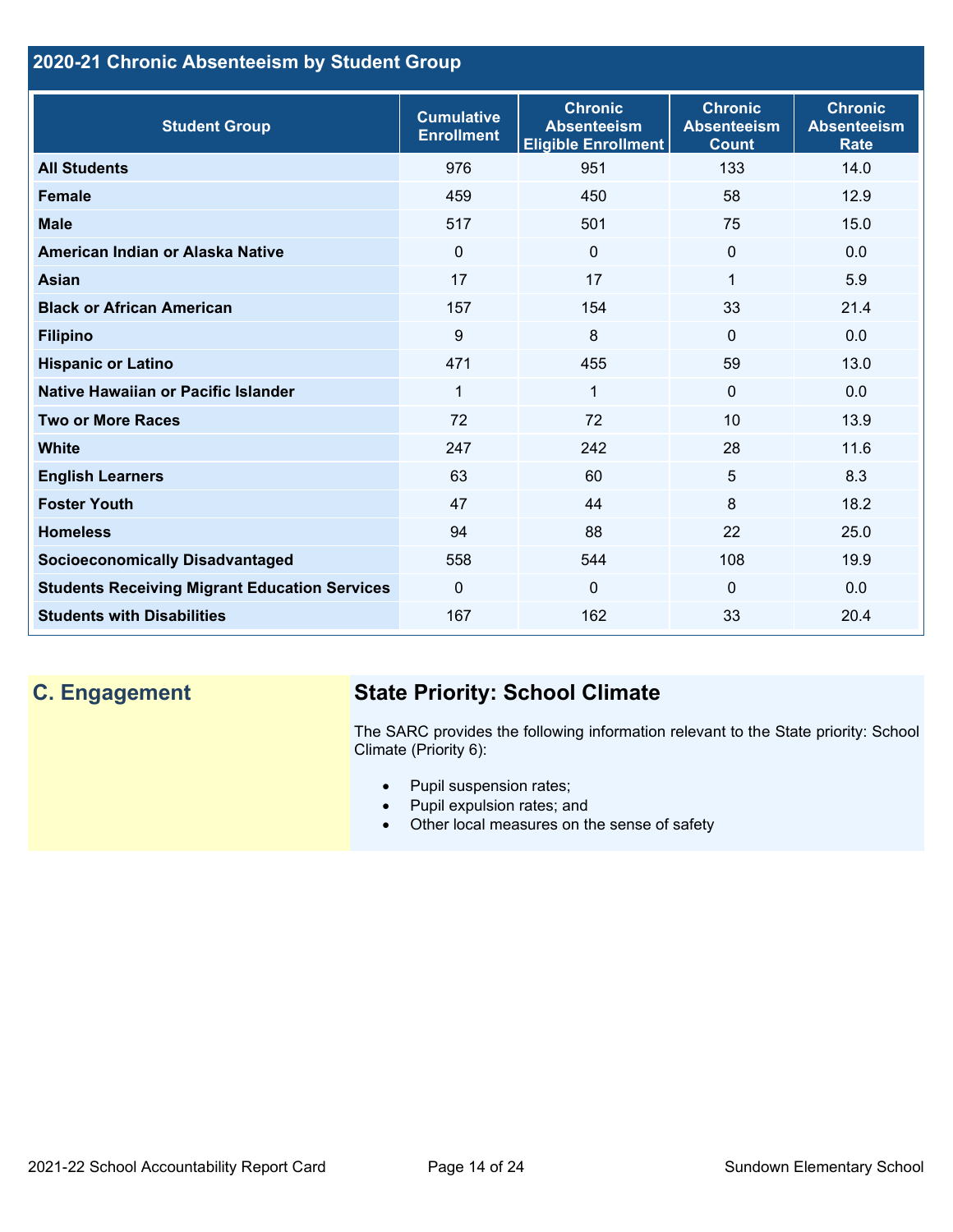## **2020-21 Chronic Absenteeism by Student Group**

| <b>Student Group</b>                                 | <b>Cumulative</b><br><b>Enrollment</b> | <b>Chronic</b><br><b>Absenteeism</b><br><b>Eligible Enrollment</b> | <b>Chronic</b><br><b>Absenteeism</b><br><b>Count</b> | <b>Chronic</b><br><b>Absenteeism</b><br><b>Rate</b> |
|------------------------------------------------------|----------------------------------------|--------------------------------------------------------------------|------------------------------------------------------|-----------------------------------------------------|
| <b>All Students</b>                                  | 976                                    | 951                                                                | 133                                                  | 14.0                                                |
| <b>Female</b>                                        | 459                                    | 450                                                                | 58                                                   | 12.9                                                |
| <b>Male</b>                                          | 517                                    | 501                                                                | 75                                                   | 15.0                                                |
| American Indian or Alaska Native                     | $\Omega$                               | $\mathbf{0}$                                                       | $\mathbf{0}$                                         | 0.0                                                 |
| <b>Asian</b>                                         | 17                                     | 17                                                                 | 1                                                    | 5.9                                                 |
| <b>Black or African American</b>                     | 157                                    | 154                                                                | 33                                                   | 21.4                                                |
| <b>Filipino</b>                                      | 9                                      | 8                                                                  | $\mathbf{0}$                                         | 0.0                                                 |
| <b>Hispanic or Latino</b>                            | 471                                    | 455                                                                | 59                                                   | 13.0                                                |
| Native Hawaiian or Pacific Islander                  | 1                                      | $\mathbf 1$                                                        | $\mathbf{0}$                                         | 0.0                                                 |
| <b>Two or More Races</b>                             | 72                                     | 72                                                                 | 10                                                   | 13.9                                                |
| <b>White</b>                                         | 247                                    | 242                                                                | 28                                                   | 11.6                                                |
| <b>English Learners</b>                              | 63                                     | 60                                                                 | 5                                                    | 8.3                                                 |
| <b>Foster Youth</b>                                  | 47                                     | 44                                                                 | 8                                                    | 18.2                                                |
| <b>Homeless</b>                                      | 94                                     | 88                                                                 | 22                                                   | 25.0                                                |
| <b>Socioeconomically Disadvantaged</b>               | 558                                    | 544                                                                | 108                                                  | 19.9                                                |
| <b>Students Receiving Migrant Education Services</b> | $\mathbf{0}$                           | $\mathbf 0$                                                        | $\mathbf{0}$                                         | 0.0                                                 |
| <b>Students with Disabilities</b>                    | 167                                    | 162                                                                | 33                                                   | 20.4                                                |

# **C. Engagement State Priority: School Climate**

The SARC provides the following information relevant to the State priority: School Climate (Priority 6):

- Pupil suspension rates;
- Pupil expulsion rates; and
- Other local measures on the sense of safety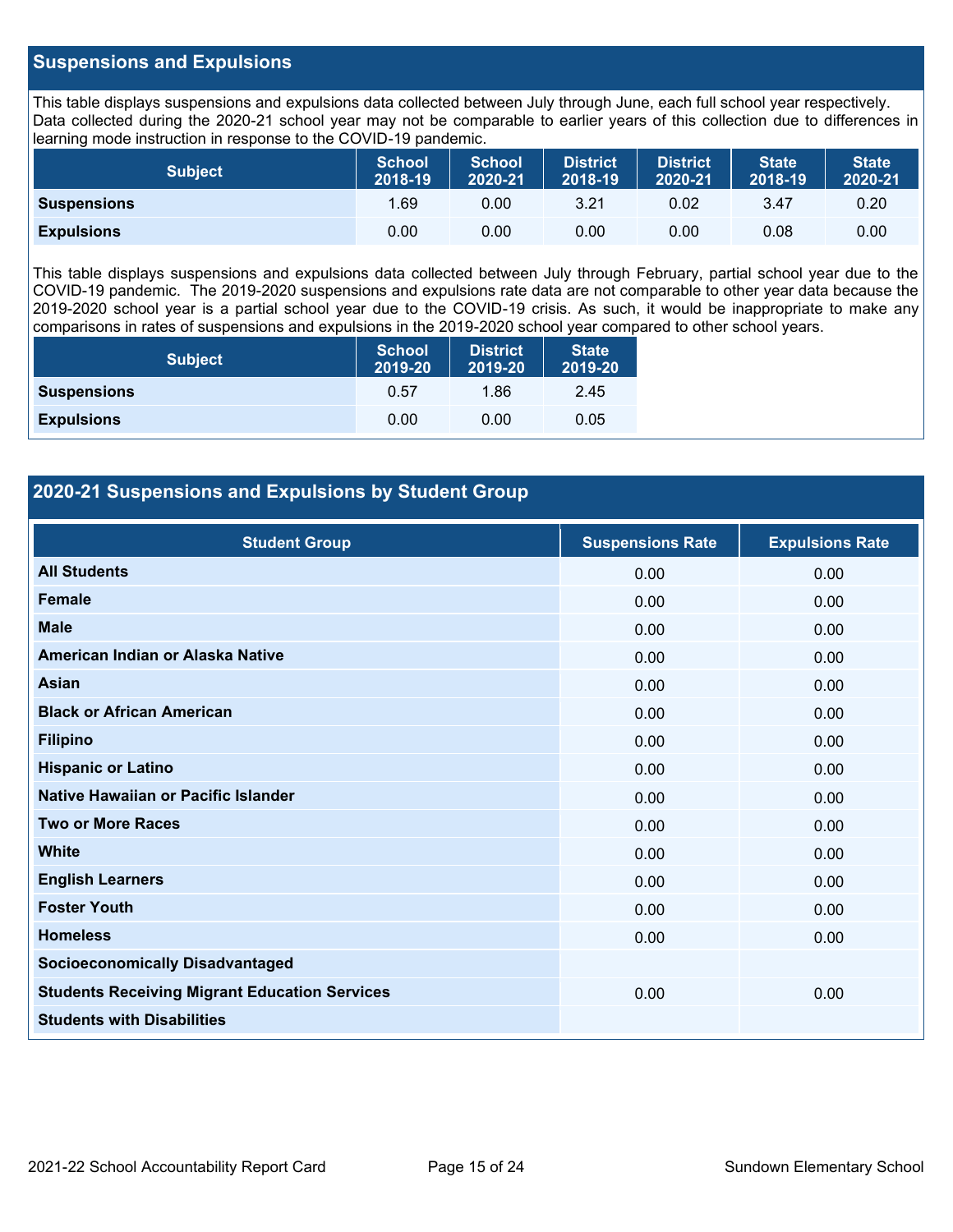## **Suspensions and Expulsions**

This table displays suspensions and expulsions data collected between July through June, each full school year respectively. Data collected during the 2020-21 school year may not be comparable to earlier years of this collection due to differences in learning mode instruction in response to the COVID-19 pandemic.

| <b>Subject</b>     | <b>School</b><br>2018-19 | <b>School</b><br>2020-21 | <b>District</b><br>2018-19 | <b>District</b><br>2020-21 | <b>State</b><br>2018-19 | <b>State</b><br>2020-21 |
|--------------------|--------------------------|--------------------------|----------------------------|----------------------------|-------------------------|-------------------------|
| <b>Suspensions</b> | 1.69                     | 0.00                     | 3.21                       | 0.02                       | 3.47                    | 0.20                    |
| <b>Expulsions</b>  | 0.00                     | 0.00                     | 0.00                       | 0.00                       | 0.08                    | 0.00                    |

This table displays suspensions and expulsions data collected between July through February, partial school year due to the COVID-19 pandemic. The 2019-2020 suspensions and expulsions rate data are not comparable to other year data because the 2019-2020 school year is a partial school year due to the COVID-19 crisis. As such, it would be inappropriate to make any comparisons in rates of suspensions and expulsions in the 2019-2020 school year compared to other school years.

| <b>Subject</b>     | <b>School</b><br>2019-20 | <b>District</b><br>2019-20 | <b>State</b><br>2019-20 |
|--------------------|--------------------------|----------------------------|-------------------------|
| <b>Suspensions</b> | 0.57                     | 1.86                       | 2.45                    |
| <b>Expulsions</b>  | 0.00                     | 0.00                       | 0.05                    |

## **2020-21 Suspensions and Expulsions by Student Group**

| <b>Student Group</b>                                 | <b>Suspensions Rate</b> | <b>Expulsions Rate</b> |
|------------------------------------------------------|-------------------------|------------------------|
| <b>All Students</b>                                  | 0.00                    | 0.00                   |
| Female                                               | 0.00                    | 0.00                   |
| <b>Male</b>                                          | 0.00                    | 0.00                   |
| American Indian or Alaska Native                     | 0.00                    | 0.00                   |
| <b>Asian</b>                                         | 0.00                    | 0.00                   |
| <b>Black or African American</b>                     | 0.00                    | 0.00                   |
| <b>Filipino</b>                                      | 0.00                    | 0.00                   |
| <b>Hispanic or Latino</b>                            | 0.00                    | 0.00                   |
| Native Hawaiian or Pacific Islander                  | 0.00                    | 0.00                   |
| <b>Two or More Races</b>                             | 0.00                    | 0.00                   |
| <b>White</b>                                         | 0.00                    | 0.00                   |
| <b>English Learners</b>                              | 0.00                    | 0.00                   |
| <b>Foster Youth</b>                                  | 0.00                    | 0.00                   |
| <b>Homeless</b>                                      | 0.00                    | 0.00                   |
| <b>Socioeconomically Disadvantaged</b>               |                         |                        |
| <b>Students Receiving Migrant Education Services</b> | 0.00                    | 0.00                   |
| <b>Students with Disabilities</b>                    |                         |                        |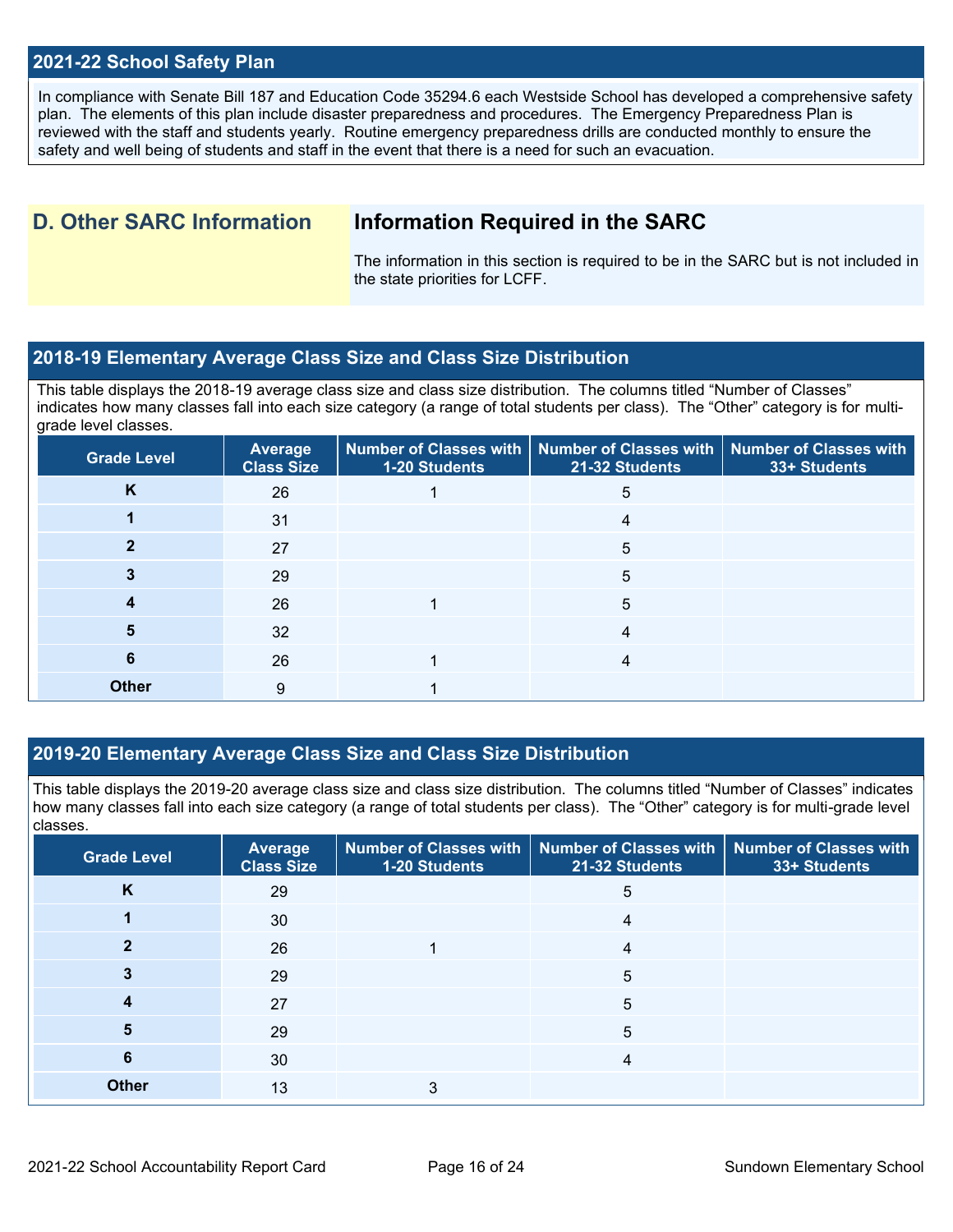## **2021-22 School Safety Plan**

In compliance with Senate Bill 187 and Education Code 35294.6 each Westside School has developed a comprehensive safety plan. The elements of this plan include disaster preparedness and procedures. The Emergency Preparedness Plan is reviewed with the staff and students yearly. Routine emergency preparedness drills are conducted monthly to ensure the safety and well being of students and staff in the event that there is a need for such an evacuation.

## **D. Other SARC Information Information Required in the SARC**

The information in this section is required to be in the SARC but is not included in the state priorities for LCFF.

## **2018-19 Elementary Average Class Size and Class Size Distribution**

This table displays the 2018-19 average class size and class size distribution. The columns titled "Number of Classes" indicates how many classes fall into each size category (a range of total students per class). The "Other" category is for multigrade level classes.

| <b>Grade Level</b> | Average<br><b>Class Size</b> | 1-20 Students | Number of Classes with   Number of Classes with   Number of Classes with<br>21-32 Students | 33+ Students |
|--------------------|------------------------------|---------------|--------------------------------------------------------------------------------------------|--------------|
| K                  | 26                           |               | 5                                                                                          |              |
|                    | 31                           |               | 4                                                                                          |              |
|                    | 27                           |               | 5                                                                                          |              |
|                    | 29                           |               | 5                                                                                          |              |
|                    | 26                           |               | 5                                                                                          |              |
| 5                  | 32                           |               | 4                                                                                          |              |
| 6                  | 26                           |               | 4                                                                                          |              |
| <b>Other</b>       | 9                            |               |                                                                                            |              |

## **2019-20 Elementary Average Class Size and Class Size Distribution**

This table displays the 2019-20 average class size and class size distribution. The columns titled "Number of Classes" indicates how many classes fall into each size category (a range of total students per class). The "Other" category is for multi-grade level classes.

| <b>Grade Level</b> | <b>Average</b><br><b>Class Size</b> | 1-20 Students | Number of Classes with   Number of Classes with   Number of Classes with<br>21-32 Students | 33+ Students |
|--------------------|-------------------------------------|---------------|--------------------------------------------------------------------------------------------|--------------|
| K                  | 29                                  |               | 5                                                                                          |              |
|                    | 30                                  |               | 4                                                                                          |              |
|                    | 26                                  |               | 4                                                                                          |              |
|                    | 29                                  |               | 5                                                                                          |              |
| 4                  | 27                                  |               | 5                                                                                          |              |
| 5                  | 29                                  |               | 5                                                                                          |              |
| 6                  | 30                                  |               | 4                                                                                          |              |
| <b>Other</b>       | 13                                  | 3             |                                                                                            |              |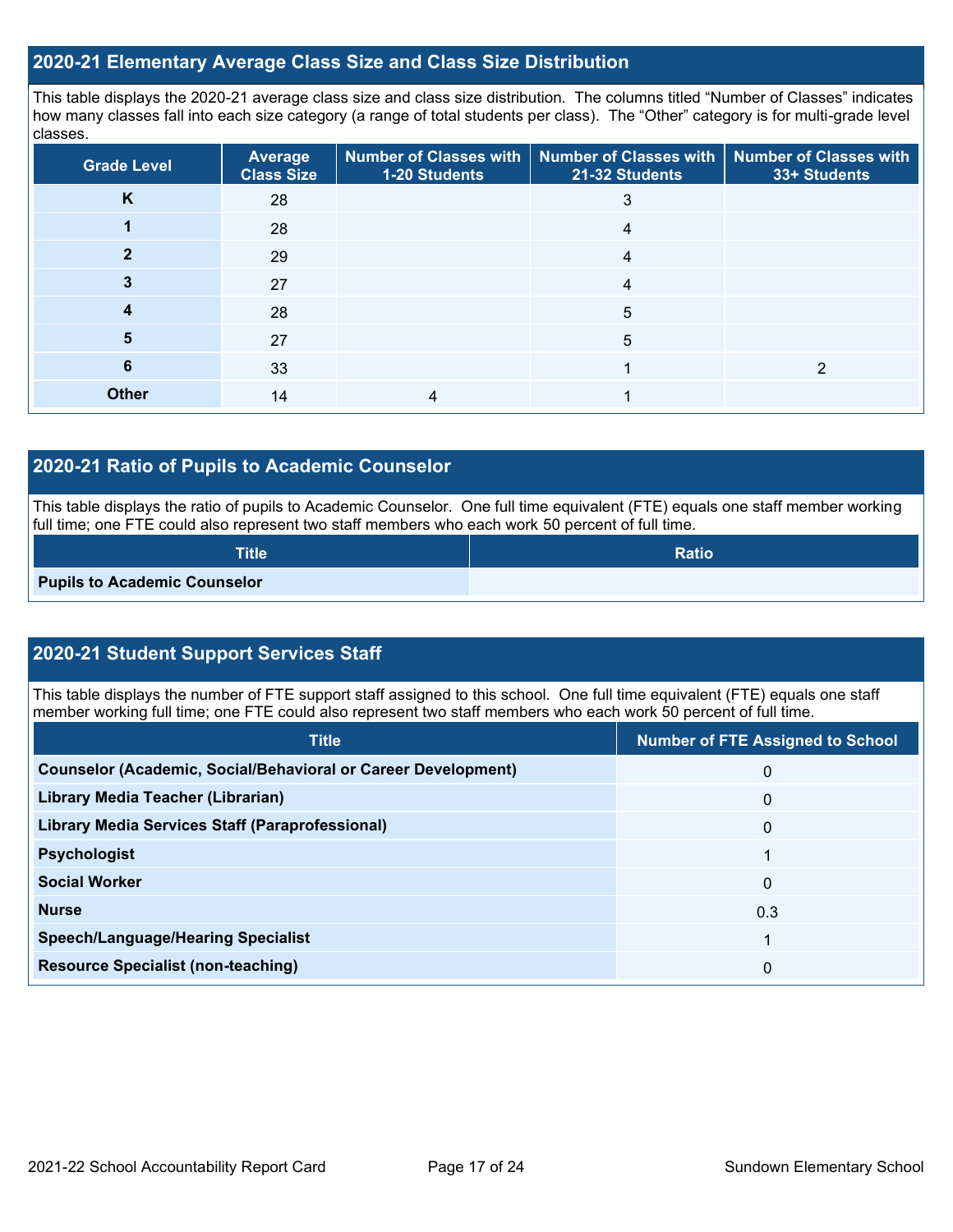## **2020-21 Elementary Average Class Size and Class Size Distribution**

This table displays the 2020-21 average class size and class size distribution. The columns titled "Number of Classes" indicates how many classes fall into each size category (a range of total students per class). The "Other" category is for multi-grade level classes.

| <b>Grade Level</b> | <b>Average</b><br><b>Class Size</b> | 1-20 Students | Number of Classes with   Number of Classes with   Number of Classes with<br>21-32 Students | 33+ Students |
|--------------------|-------------------------------------|---------------|--------------------------------------------------------------------------------------------|--------------|
| K                  | 28                                  |               |                                                                                            |              |
|                    | 28                                  |               | 4                                                                                          |              |
|                    | 29                                  |               | 4                                                                                          |              |
|                    | 27                                  |               | 4                                                                                          |              |
|                    | 28                                  |               | 5                                                                                          |              |
| 5                  | 27                                  |               | 5                                                                                          |              |
| 6                  | 33                                  |               |                                                                                            |              |
| <b>Other</b>       | 14                                  |               |                                                                                            |              |

## **2020-21 Ratio of Pupils to Academic Counselor**

This table displays the ratio of pupils to Academic Counselor. One full time equivalent (FTE) equals one staff member working full time; one FTE could also represent two staff members who each work 50 percent of full time.

| <b>Title</b>                        | <b>Ratio</b> |
|-------------------------------------|--------------|
| <b>Pupils to Academic Counselor</b> |              |

## **2020-21 Student Support Services Staff**

This table displays the number of FTE support staff assigned to this school. One full time equivalent (FTE) equals one staff member working full time; one FTE could also represent two staff members who each work 50 percent of full time.

| <b>Title</b>                                                         | <b>Number of FTE Assigned to School</b> |
|----------------------------------------------------------------------|-----------------------------------------|
| <b>Counselor (Academic, Social/Behavioral or Career Development)</b> | 0                                       |
| Library Media Teacher (Librarian)                                    | 0                                       |
| <b>Library Media Services Staff (Paraprofessional)</b>               | 0                                       |
| <b>Psychologist</b>                                                  |                                         |
| <b>Social Worker</b>                                                 | 0                                       |
| <b>Nurse</b>                                                         | 0.3                                     |
| <b>Speech/Language/Hearing Specialist</b>                            |                                         |
| <b>Resource Specialist (non-teaching)</b>                            | 0                                       |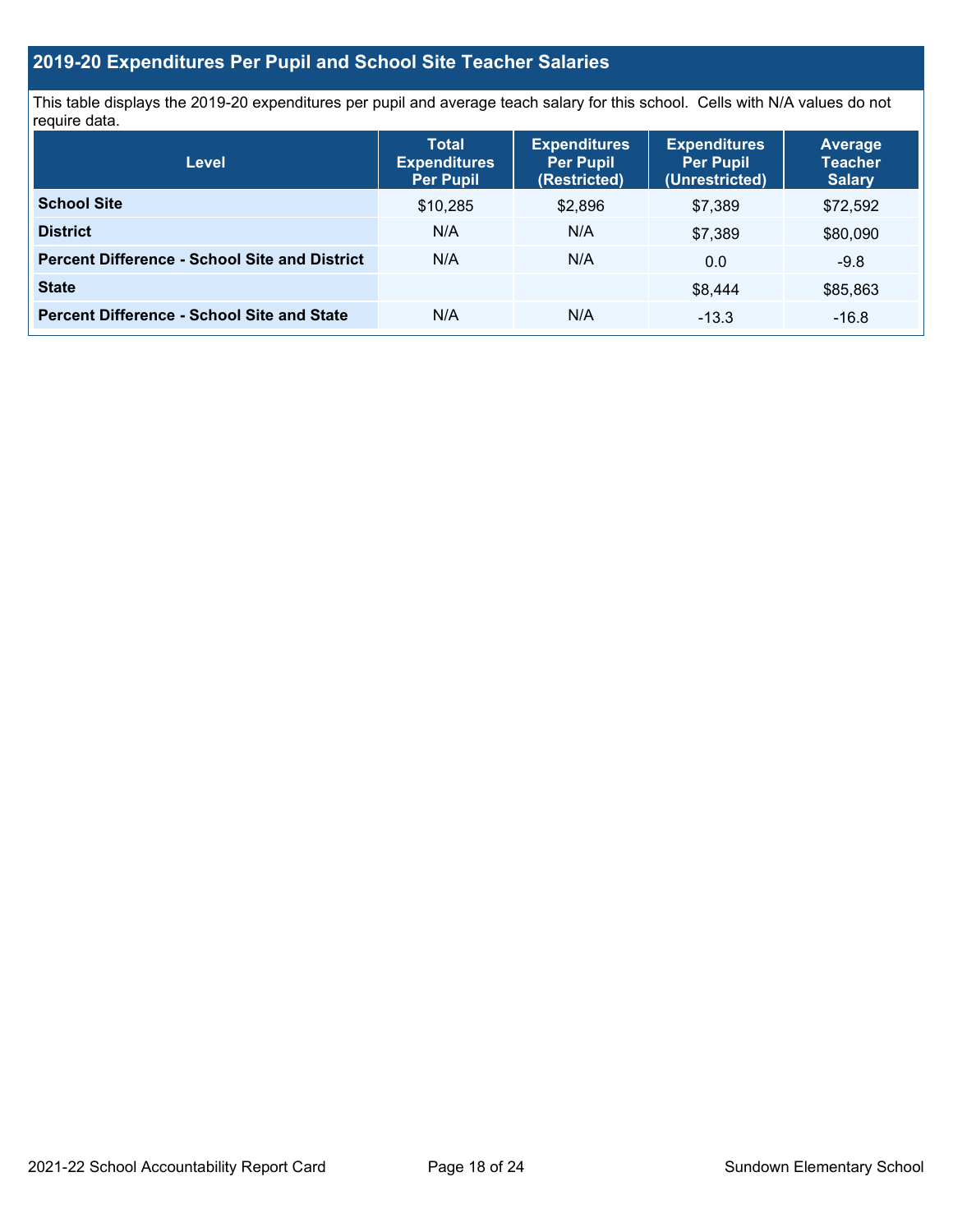# **2019-20 Expenditures Per Pupil and School Site Teacher Salaries**

This table displays the 2019-20 expenditures per pupil and average teach salary for this school. Cells with N/A values do not require data.

| <b>Level</b>                                         | <b>Total</b><br><b>Expenditures</b><br><b>Per Pupil</b> | <b>Expenditures</b><br><b>Per Pupil</b><br>(Restricted) | <b>Expenditures</b><br><b>Per Pupil</b><br>(Unrestricted) | <b>Average</b><br><b>Teacher</b><br><b>Salary</b> |  |
|------------------------------------------------------|---------------------------------------------------------|---------------------------------------------------------|-----------------------------------------------------------|---------------------------------------------------|--|
| <b>School Site</b>                                   | \$10,285                                                | \$2,896                                                 | \$7.389                                                   | \$72,592                                          |  |
| <b>District</b>                                      | N/A                                                     | N/A                                                     | \$7.389                                                   | \$80,090                                          |  |
| <b>Percent Difference - School Site and District</b> | N/A                                                     | N/A                                                     | 0.0                                                       | $-9.8$                                            |  |
| <b>State</b>                                         |                                                         |                                                         | \$8,444                                                   | \$85,863                                          |  |
| <b>Percent Difference - School Site and State</b>    | N/A                                                     | N/A                                                     | $-13.3$                                                   | $-16.8$                                           |  |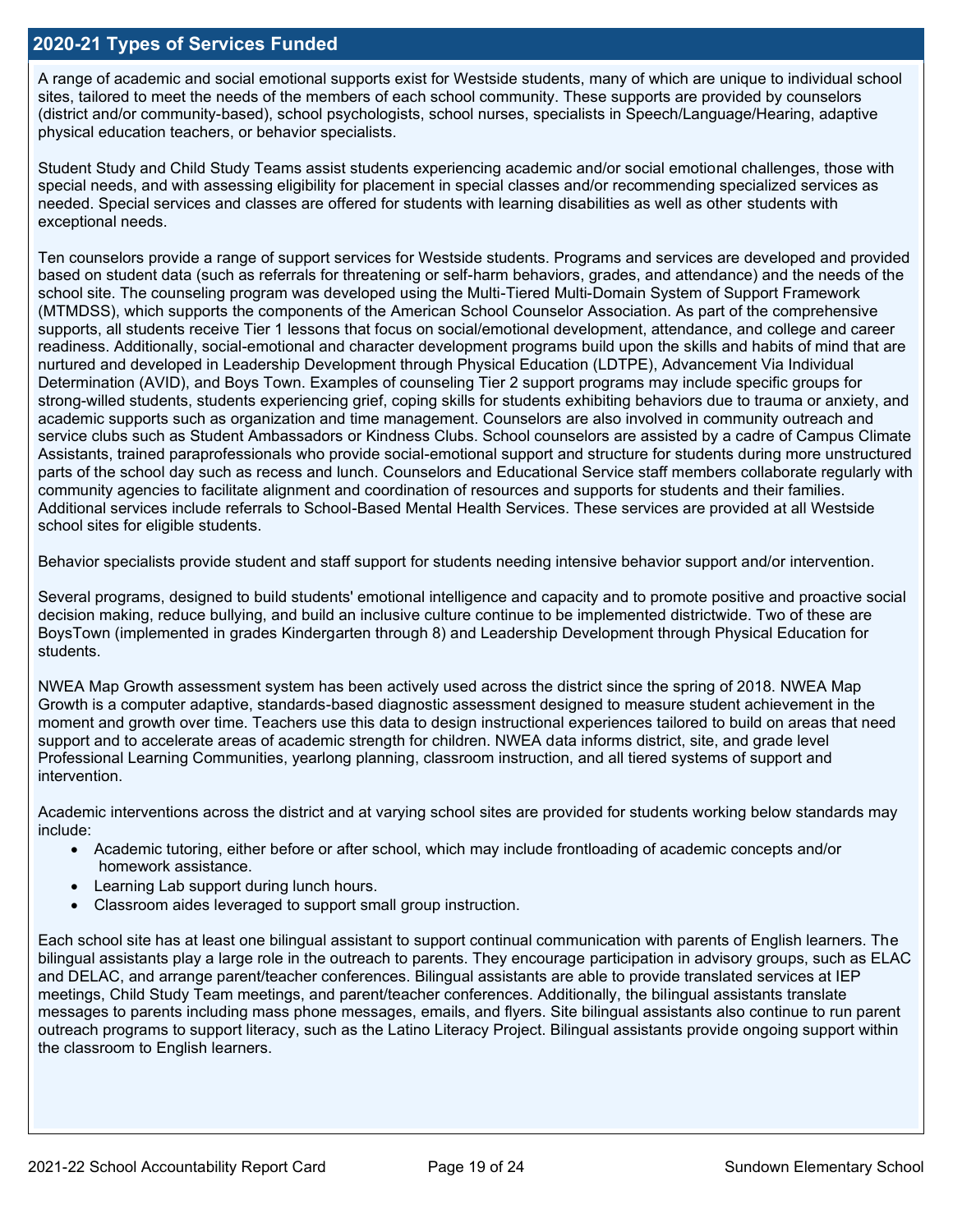## **2020-21 Types of Services Funded**

A range of academic and social emotional supports exist for Westside students, many of which are unique to individual school sites, tailored to meet the needs of the members of each school community. These supports are provided by counselors (district and/or community-based), school psychologists, school nurses, specialists in Speech/Language/Hearing, adaptive physical education teachers, or behavior specialists.

Student Study and Child Study Teams assist students experiencing academic and/or social emotional challenges, those with special needs, and with assessing eligibility for placement in special classes and/or recommending specialized services as needed. Special services and classes are offered for students with learning disabilities as well as other students with exceptional needs.

Ten counselors provide a range of support services for Westside students. Programs and services are developed and provided based on student data (such as referrals for threatening or self-harm behaviors, grades, and attendance) and the needs of the school site. The counseling program was developed using the Multi-Tiered Multi-Domain System of Support Framework (MTMDSS), which supports the components of the American School Counselor Association. As part of the comprehensive supports, all students receive Tier 1 lessons that focus on social/emotional development, attendance, and college and career readiness. Additionally, social-emotional and character development programs build upon the skills and habits of mind that are nurtured and developed in Leadership Development through Physical Education (LDTPE), Advancement Via Individual Determination (AVID), and Boys Town. Examples of counseling Tier 2 support programs may include specific groups for strong-willed students, students experiencing grief, coping skills for students exhibiting behaviors due to trauma or anxiety, and academic supports such as organization and time management. Counselors are also involved in community outreach and service clubs such as Student Ambassadors or Kindness Clubs. School counselors are assisted by a cadre of Campus Climate Assistants, trained paraprofessionals who provide social-emotional support and structure for students during more unstructured parts of the school day such as recess and lunch. Counselors and Educational Service staff members collaborate regularly with community agencies to facilitate alignment and coordination of resources and supports for students and their families. Additional services include referrals to School-Based Mental Health Services. These services are provided at all Westside school sites for eligible students.

Behavior specialists provide student and staff support for students needing intensive behavior support and/or intervention.

Several programs, designed to build students' emotional intelligence and capacity and to promote positive and proactive social decision making, reduce bullying, and build an inclusive culture continue to be implemented districtwide. Two of these are BoysTown (implemented in grades Kindergarten through 8) and Leadership Development through Physical Education for students.

NWEA Map Growth assessment system has been actively used across the district since the spring of 2018. NWEA Map Growth is a computer adaptive, standards-based diagnostic assessment designed to measure student achievement in the moment and growth over time. Teachers use this data to design instructional experiences tailored to build on areas that need support and to accelerate areas of academic strength for children. NWEA data informs district, site, and grade level Professional Learning Communities, yearlong planning, classroom instruction, and all tiered systems of support and intervention.

Academic interventions across the district and at varying school sites are provided for students working below standards may include:

- Academic tutoring, either before or after school, which may include frontloading of academic concepts and/or homework assistance.
- Learning Lab support during lunch hours.
- Classroom aides leveraged to support small group instruction.

Each school site has at least one bilingual assistant to support continual communication with parents of English learners. The bilingual assistants play a large role in the outreach to parents. They encourage participation in advisory groups, such as ELAC and DELAC, and arrange parent/teacher conferences. Bilingual assistants are able to provide translated services at IEP meetings, Child Study Team meetings, and parent/teacher conferences. Additionally, the bilingual assistants translate messages to parents including mass phone messages, emails, and flyers. Site bilingual assistants also continue to run parent outreach programs to support literacy, such as the Latino Literacy Project. Bilingual assistants provide ongoing support within the classroom to English learners.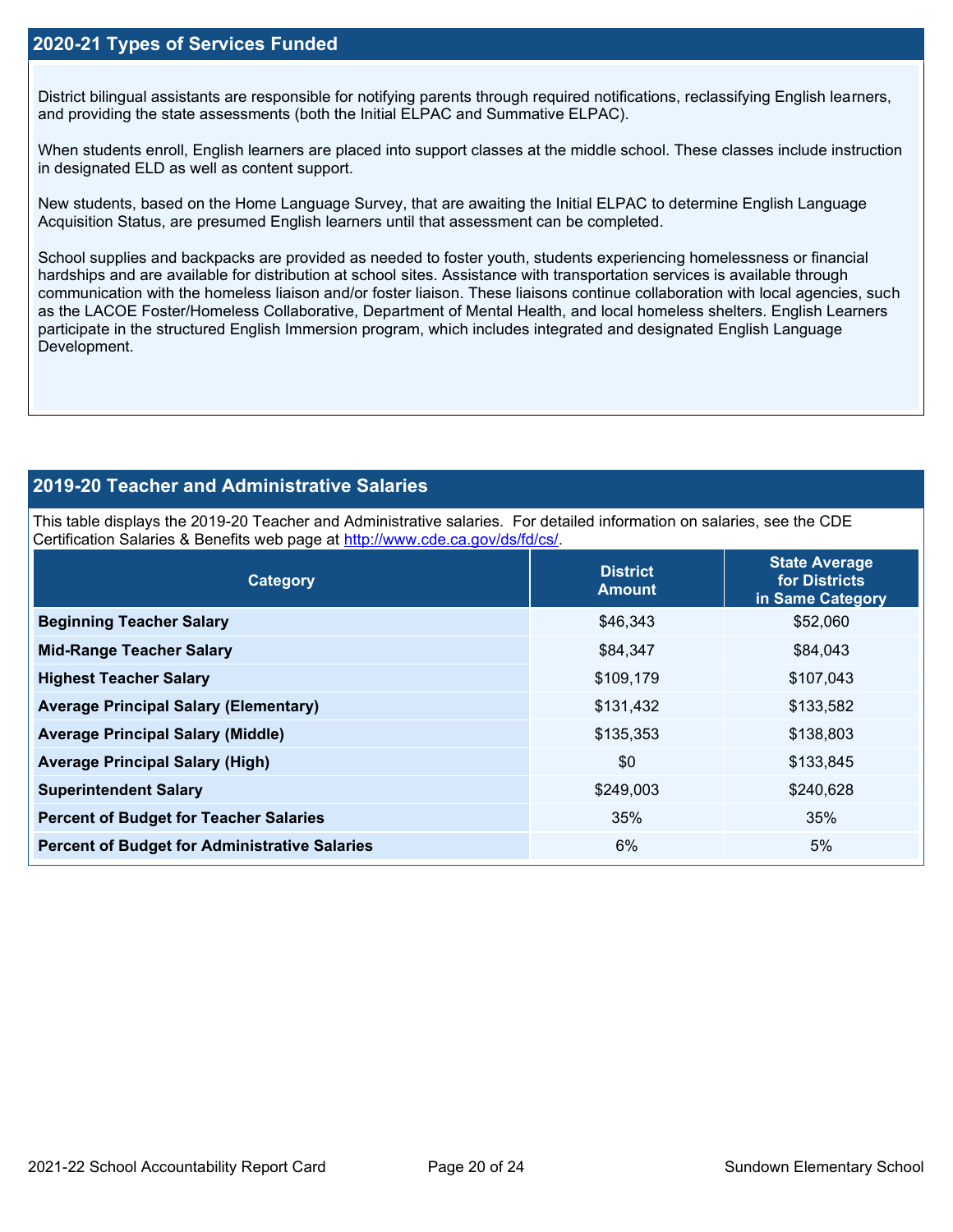## **2020-21 Types of Services Funded**

District bilingual assistants are responsible for notifying parents through required notifications, reclassifying English learners, and providing the state assessments (both the Initial ELPAC and Summative ELPAC).

When students enroll, English learners are placed into support classes at the middle school. These classes include instruction in designated ELD as well as content support.

New students, based on the Home Language Survey, that are awaiting the Initial ELPAC to determine English Language Acquisition Status, are presumed English learners until that assessment can be completed.

School supplies and backpacks are provided as needed to foster youth, students experiencing homelessness or financial hardships and are available for distribution at school sites. Assistance with transportation services is available through communication with the homeless liaison and/or foster liaison. These liaisons continue collaboration with local agencies, such as the LACOE Foster/Homeless Collaborative, Department of Mental Health, and local homeless shelters. English Learners participate in the structured English Immersion program, which includes integrated and designated English Language Development.

## **2019-20 Teacher and Administrative Salaries**

This table displays the 2019-20 Teacher and Administrative salaries. For detailed information on salaries, see the CDE Certification Salaries & Benefits web page at [http://www.cde.ca.gov/ds/fd/cs/.](http://www.cde.ca.gov/ds/fd/cs/)

| Category                                             | <b>District</b><br><b>Amount</b> | <b>State Average</b><br>for Districts<br>in Same Category |
|------------------------------------------------------|----------------------------------|-----------------------------------------------------------|
| <b>Beginning Teacher Salary</b>                      | \$46,343                         | \$52,060                                                  |
| <b>Mid-Range Teacher Salary</b>                      | \$84,347                         | \$84,043                                                  |
| <b>Highest Teacher Salary</b>                        | \$109,179                        | \$107,043                                                 |
| <b>Average Principal Salary (Elementary)</b>         | \$131,432                        | \$133,582                                                 |
| <b>Average Principal Salary (Middle)</b>             | \$135,353                        | \$138,803                                                 |
| <b>Average Principal Salary (High)</b>               | \$0                              | \$133,845                                                 |
| <b>Superintendent Salary</b>                         | \$249,003                        | \$240,628                                                 |
| <b>Percent of Budget for Teacher Salaries</b>        | 35%                              | 35%                                                       |
| <b>Percent of Budget for Administrative Salaries</b> | 6%                               | 5%                                                        |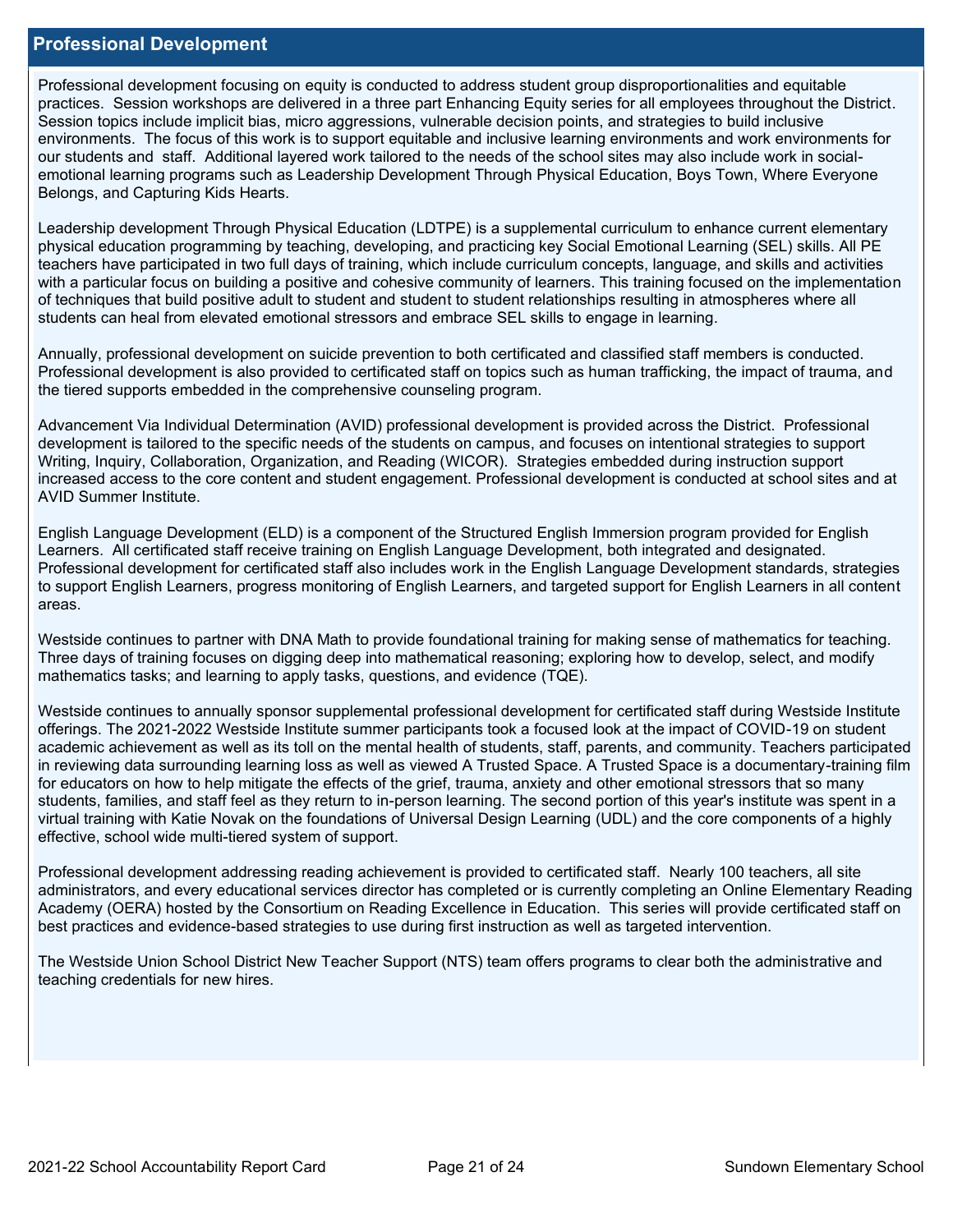### **Professional Development**

Professional development focusing on equity is conducted to address student group disproportionalities and equitable practices. Session workshops are delivered in a three part Enhancing Equity series for all employees throughout the District. Session topics include implicit bias, micro aggressions, vulnerable decision points, and strategies to build inclusive environments. The focus of this work is to support equitable and inclusive learning environments and work environments for our students and staff. Additional layered work tailored to the needs of the school sites may also include work in socialemotional learning programs such as Leadership Development Through Physical Education, Boys Town, Where Everyone Belongs, and Capturing Kids Hearts.

Leadership development Through Physical Education (LDTPE) is a supplemental curriculum to enhance current elementary physical education programming by teaching, developing, and practicing key Social Emotional Learning (SEL) skills. All PE teachers have participated in two full days of training, which include curriculum concepts, language, and skills and activities with a particular focus on building a positive and cohesive community of learners. This training focused on the implementation of techniques that build positive adult to student and student to student relationships resulting in atmospheres where all students can heal from elevated emotional stressors and embrace SEL skills to engage in learning.

Annually, professional development on suicide prevention to both certificated and classified staff members is conducted. Professional development is also provided to certificated staff on topics such as human trafficking, the impact of trauma, and the tiered supports embedded in the comprehensive counseling program.

Advancement Via Individual Determination (AVID) professional development is provided across the District. Professional development is tailored to the specific needs of the students on campus, and focuses on intentional strategies to support Writing, Inquiry, Collaboration, Organization, and Reading (WICOR). Strategies embedded during instruction support increased access to the core content and student engagement. Professional development is conducted at school sites and at AVID Summer Institute.

English Language Development (ELD) is a component of the Structured English Immersion program provided for English Learners. All certificated staff receive training on English Language Development, both integrated and designated. Professional development for certificated staff also includes work in the English Language Development standards, strategies to support English Learners, progress monitoring of English Learners, and targeted support for English Learners in all content areas.

Westside continues to partner with DNA Math to provide foundational training for making sense of mathematics for teaching. Three days of training focuses on digging deep into mathematical reasoning; exploring how to develop, select, and modify mathematics tasks; and learning to apply tasks, questions, and evidence (TQE).

Westside continues to annually sponsor supplemental professional development for certificated staff during Westside Institute offerings. The 2021-2022 Westside Institute summer participants took a focused look at the impact of COVID-19 on student academic achievement as well as its toll on the mental health of students, staff, parents, and community. Teachers participated in reviewing data surrounding learning loss as well as viewed A Trusted Space. A Trusted Space is a documentary-training film for educators on how to help mitigate the effects of the grief, trauma, anxiety and other emotional stressors that so many students, families, and staff feel as they return to in-person learning. The second portion of this year's institute was spent in a virtual training with Katie Novak on the foundations of Universal Design Learning (UDL) and the core components of a highly effective, school wide multi-tiered system of support.

Professional development addressing reading achievement is provided to certificated staff. Nearly 100 teachers, all site administrators, and every educational services director has completed or is currently completing an Online Elementary Reading Academy (OERA) hosted by the Consortium on Reading Excellence in Education. This series will provide certificated staff on best practices and evidence-based strategies to use during first instruction as well as targeted intervention.

The Westside Union School District New Teacher Support (NTS) team offers programs to clear both the administrative and teaching credentials for new hires.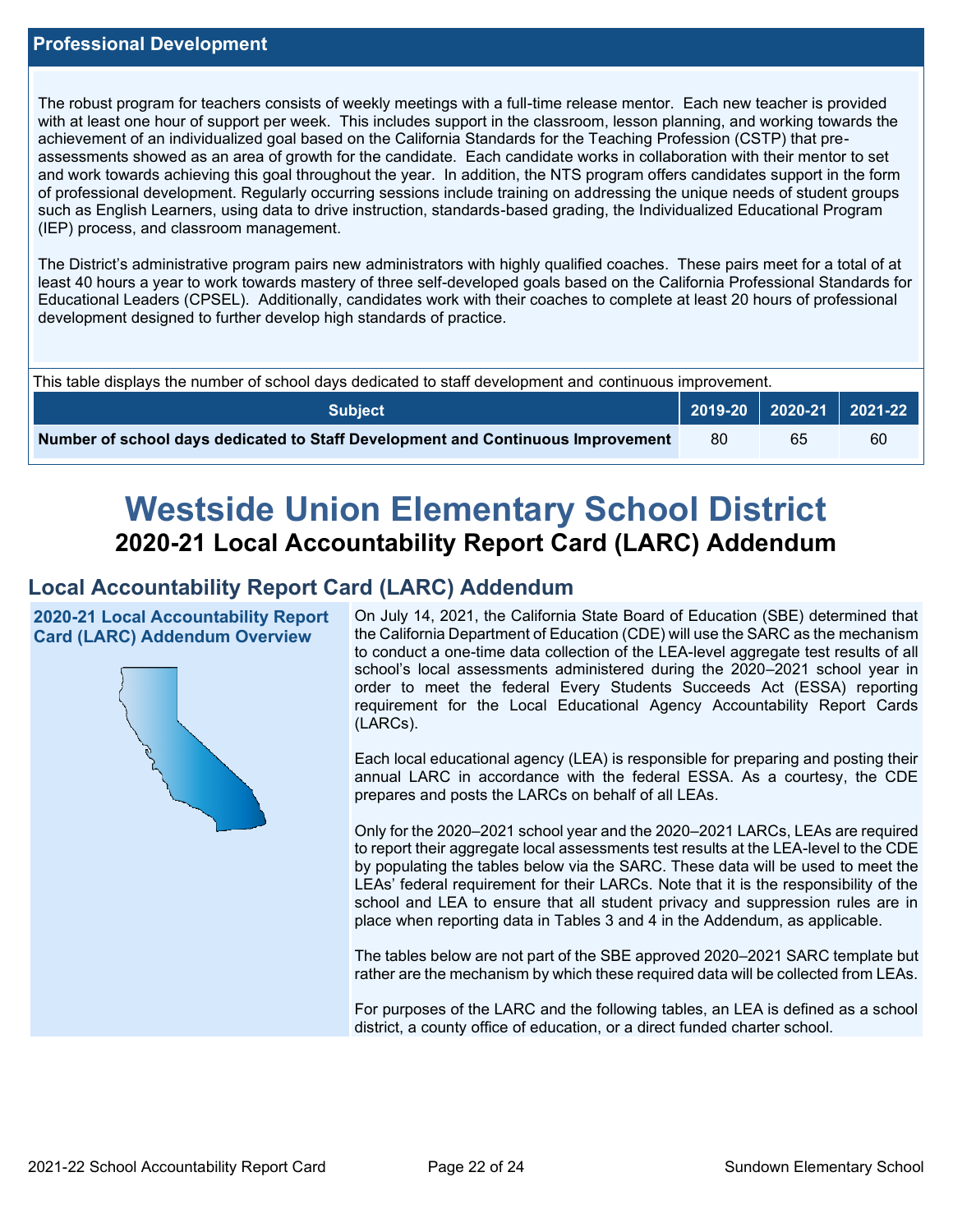The robust program for teachers consists of weekly meetings with a full-time release mentor. Each new teacher is provided with at least one hour of support per week. This includes support in the classroom, lesson planning, and working towards the achievement of an individualized goal based on the California Standards for the Teaching Profession (CSTP) that preassessments showed as an area of growth for the candidate. Each candidate works in collaboration with their mentor to set and work towards achieving this goal throughout the year. In addition, the NTS program offers candidates support in the form of professional development. Regularly occurring sessions include training on addressing the unique needs of student groups such as English Learners, using data to drive instruction, standards-based grading, the Individualized Educational Program (IEP) process, and classroom management.

The District's administrative program pairs new administrators with highly qualified coaches. These pairs meet for a total of at least 40 hours a year to work towards mastery of three self-developed goals based on the California Professional Standards for Educational Leaders (CPSEL). Additionally, candidates work with their coaches to complete at least 20 hours of professional development designed to further develop high standards of practice.

| This table displays the number of school days dedicated to staff development and continuous improvement. |     |    |    |  |  |  |
|----------------------------------------------------------------------------------------------------------|-----|----|----|--|--|--|
| <b>Subject</b>                                                                                           |     |    |    |  |  |  |
| Number of school days dedicated to Staff Development and Continuous Improvement                          | -80 | 65 | 60 |  |  |  |

# **Westside Union Elementary School District 2020-21 Local Accountability Report Card (LARC) Addendum**

## **Local Accountability Report Card (LARC) Addendum**

**2020-21 Local Accountability Report Card (LARC) Addendum Overview**



On July 14, 2021, the California State Board of Education (SBE) determined that the California Department of Education (CDE) will use the SARC as the mechanism to conduct a one-time data collection of the LEA-level aggregate test results of all school's local assessments administered during the 2020–2021 school year in order to meet the federal Every Students Succeeds Act (ESSA) reporting requirement for the Local Educational Agency Accountability Report Cards (LARCs).

Each local educational agency (LEA) is responsible for preparing and posting their annual LARC in accordance with the federal ESSA. As a courtesy, the CDE prepares and posts the LARCs on behalf of all LEAs.

Only for the 2020–2021 school year and the 2020–2021 LARCs, LEAs are required to report their aggregate local assessments test results at the LEA-level to the CDE by populating the tables below via the SARC. These data will be used to meet the LEAs' federal requirement for their LARCs. Note that it is the responsibility of the school and LEA to ensure that all student privacy and suppression rules are in place when reporting data in Tables 3 and 4 in the Addendum, as applicable.

The tables below are not part of the SBE approved 2020–2021 SARC template but rather are the mechanism by which these required data will be collected from LEAs.

For purposes of the LARC and the following tables, an LEA is defined as a school district, a county office of education, or a direct funded charter school.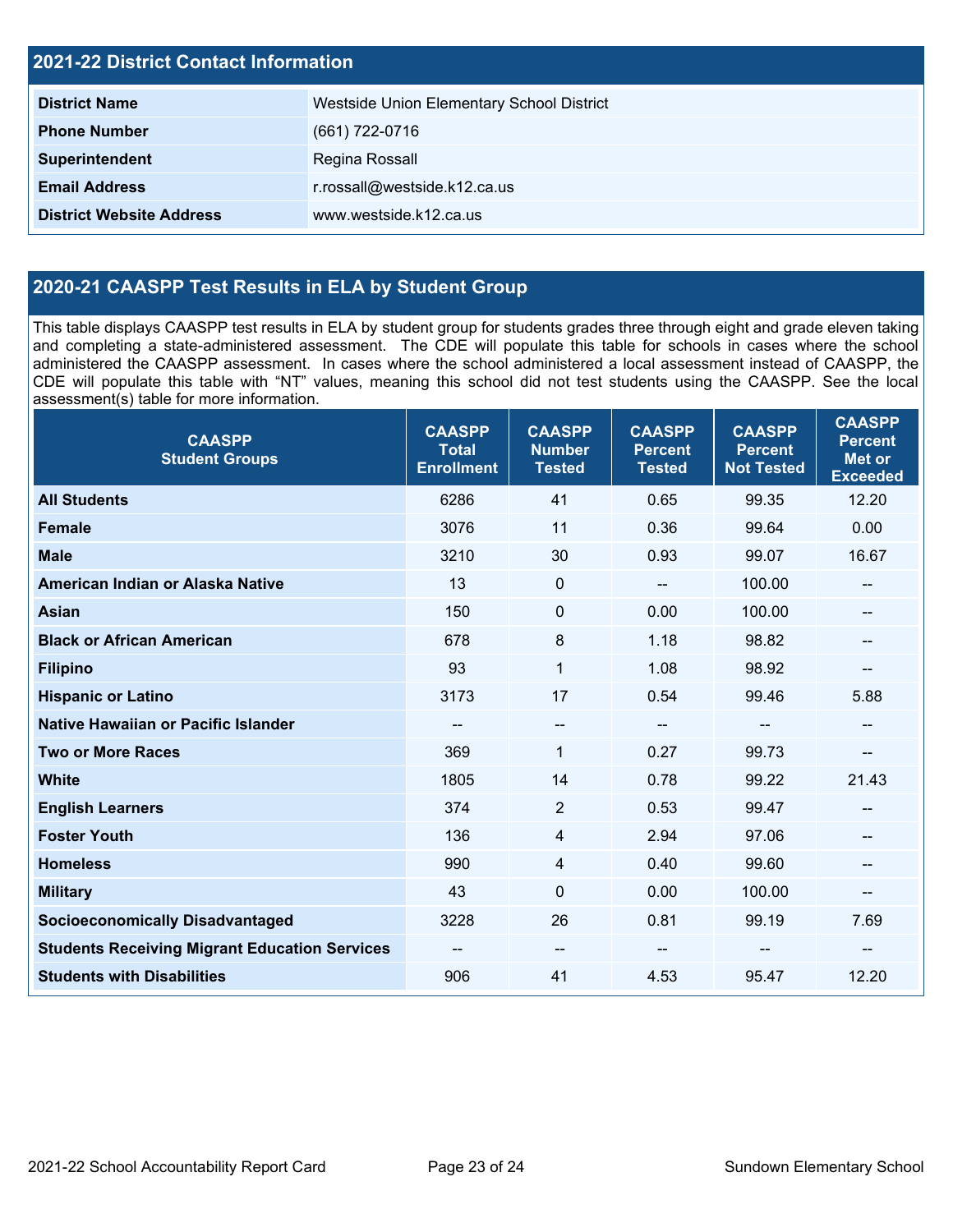| <b>2021-22 District Contact Information</b> |                                           |  |  |  |
|---------------------------------------------|-------------------------------------------|--|--|--|
| <b>District Name</b>                        | Westside Union Elementary School District |  |  |  |
| <b>Phone Number</b>                         | (661) 722-0716                            |  |  |  |
| Superintendent                              | Regina Rossall                            |  |  |  |
| <b>Email Address</b>                        | r.rossall@westside.k12.ca.us              |  |  |  |
| <b>District Website Address</b>             | www.westside.k12.ca.us                    |  |  |  |

## **2020-21 CAASPP Test Results in ELA by Student Group**

This table displays CAASPP test results in ELA by student group for students grades three through eight and grade eleven taking and completing a state-administered assessment. The CDE will populate this table for schools in cases where the school administered the CAASPP assessment. In cases where the school administered a local assessment instead of CAASPP, the CDE will populate this table with "NT" values, meaning this school did not test students using the CAASPP. See the local assessment(s) table for more information.

| <b>CAASPP</b><br><b>Student Groups</b>               | <b>CAASPP</b><br><b>Total</b><br><b>Enrollment</b> | <b>CAASPP</b><br><b>Number</b><br><b>Tested</b> | <b>CAASPP</b><br><b>Percent</b><br><b>Tested</b> | <b>CAASPP</b><br><b>Percent</b><br><b>Not Tested</b> | <b>CAASPP</b><br><b>Percent</b><br><b>Met or</b><br><b>Exceeded</b> |
|------------------------------------------------------|----------------------------------------------------|-------------------------------------------------|--------------------------------------------------|------------------------------------------------------|---------------------------------------------------------------------|
| <b>All Students</b>                                  | 6286                                               | 41                                              | 0.65                                             | 99.35                                                | 12.20                                                               |
| <b>Female</b>                                        | 3076                                               | 11                                              | 0.36                                             | 99.64                                                | 0.00                                                                |
| <b>Male</b>                                          | 3210                                               | 30                                              | 0.93                                             | 99.07                                                | 16.67                                                               |
| American Indian or Alaska Native                     | 13                                                 | $\mathbf 0$                                     | $\overline{\phantom{a}}$                         | 100.00                                               | --                                                                  |
| <b>Asian</b>                                         | 150                                                | $\mathbf 0$                                     | 0.00                                             | 100.00                                               | --                                                                  |
| <b>Black or African American</b>                     | 678                                                | 8                                               | 1.18                                             | 98.82                                                | --                                                                  |
| <b>Filipino</b>                                      | 93                                                 | 1                                               | 1.08                                             | 98.92                                                | --                                                                  |
| <b>Hispanic or Latino</b>                            | 3173                                               | 17                                              | 0.54                                             | 99.46                                                | 5.88                                                                |
| Native Hawaiian or Pacific Islander                  | --                                                 | $- -$                                           | $\sim$ $\sim$                                    | --                                                   | --                                                                  |
| <b>Two or More Races</b>                             | 369                                                | $\mathbf{1}$                                    | 0.27                                             | 99.73                                                | --                                                                  |
| <b>White</b>                                         | 1805                                               | 14                                              | 0.78                                             | 99.22                                                | 21.43                                                               |
| <b>English Learners</b>                              | 374                                                | $\overline{2}$                                  | 0.53                                             | 99.47                                                | $- -$                                                               |
| <b>Foster Youth</b>                                  | 136                                                | 4                                               | 2.94                                             | 97.06                                                |                                                                     |
| <b>Homeless</b>                                      | 990                                                | 4                                               | 0.40                                             | 99.60                                                | --                                                                  |
| <b>Military</b>                                      | 43                                                 | $\mathbf 0$                                     | 0.00                                             | 100.00                                               | --                                                                  |
| <b>Socioeconomically Disadvantaged</b>               | 3228                                               | 26                                              | 0.81                                             | 99.19                                                | 7.69                                                                |
| <b>Students Receiving Migrant Education Services</b> | $\qquad \qquad -$                                  | $\overline{\phantom{a}}$                        |                                                  | --                                                   | --                                                                  |
| <b>Students with Disabilities</b>                    | 906                                                | 41                                              | 4.53                                             | 95.47                                                | 12.20                                                               |